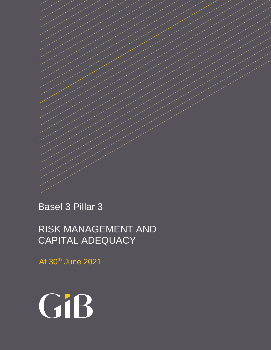Basel 3 Pillar 3

RISK MANAGEMENT AND CAPITAL ADEQUACY

At 30<sup>th</sup> June 2021

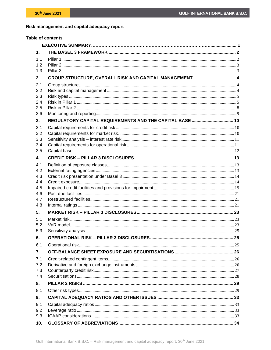# Risk management and capital adequacy report

| <b>Table of contents</b> |                                                          |  |
|--------------------------|----------------------------------------------------------|--|
|                          |                                                          |  |
| 1.                       |                                                          |  |
| 1.1                      |                                                          |  |
| 1.2                      |                                                          |  |
| 1.3                      |                                                          |  |
| 2.                       |                                                          |  |
| 2.1                      |                                                          |  |
| 2.2                      |                                                          |  |
| 2.3                      |                                                          |  |
| 2.4<br>2.5               |                                                          |  |
| 2.6                      |                                                          |  |
| 3.                       | REGULATORY CAPITAL REQUIREMENTS AND THE CAPITAL BASE  10 |  |
| 3.1                      |                                                          |  |
| 3.2                      |                                                          |  |
| 3.3                      |                                                          |  |
| 3.4                      |                                                          |  |
| 3.5                      |                                                          |  |
| 4.                       |                                                          |  |
| 4.1                      |                                                          |  |
| 4.2                      |                                                          |  |
| 4.3                      |                                                          |  |
| 4.4<br>4.5               |                                                          |  |
| 4.6                      |                                                          |  |
| 4.7                      |                                                          |  |
| 4.8                      |                                                          |  |
| 5.                       |                                                          |  |
| 5.1                      |                                                          |  |
| 5.2                      |                                                          |  |
| 5.3                      |                                                          |  |
| 6.                       |                                                          |  |
| 6.1                      |                                                          |  |
| 7.                       |                                                          |  |
| 7.1                      |                                                          |  |
| 7.2                      |                                                          |  |
| 7.3                      |                                                          |  |
| 7.4                      |                                                          |  |
| 8.                       |                                                          |  |
| 8.1                      |                                                          |  |
| 9.                       |                                                          |  |
| 9.1<br>9.2               |                                                          |  |
| 9.3                      |                                                          |  |
| 10.                      |                                                          |  |
|                          |                                                          |  |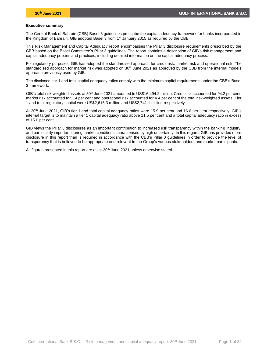#### **Executive summary**

The Central Bank of Bahrain (CBB) Basel 3 guidelines prescribe the capital adequacy framework for banks incorporated in the Kingdom of Bahrain. GIB adopted Basel 3 from 1<sup>st</sup> January 2015 as required by the CBB.

This Risk Management and Capital Adequacy report encompasses the Pillar 3 disclosure requirements prescribed by the CBB based on the Basel Committee's Pillar 3 guidelines. The report contains a description of GIB's risk management and capital adequacy policies and practices, including detailed information on the capital adequacy process.

For regulatory purposes, GIB has adopted the standardised approach for credit risk, market risk and operational risk. The standardised approach for market risk was adopted on 30<sup>th</sup> June 2021 as approved by the CBB from the internal models approach previously used by GIB.

The disclosed tier 1 and total capital adequacy ratios comply with the minimum capital requirements under the CBB's Basel 3 framework.

GIB's total risk-weighted assets at 30<sup>th</sup> June 2021 amounted to US\$16,494.2 million. Credit risk accounted for 94.2 per cent, market risk accounted for 1.4 per cent and operational risk accounted for 4.4 per cent of the total risk-weighted assets. Tier 1 and total regulatory capital were US\$2,616.3 million and US\$2,741.1 million respectively.

At 30th June 2021, GIB's tier 1 and total capital adequacy ratios were 15.9 per cent and 16.6 per cent respectively. GIB's internal target is to maintain a tier 1 capital adequacy ratio above 11.5 per cent and a total capital adequacy ratio in excess of 15.0 per cent.

GIB views the Pillar 3 disclosures as an important contribution to increased risk transparency within the banking industry, and particularly important during market conditions characterised by high uncertainty. In this regard, GIB has provided more disclosure in this report than is required in accordance with the CBB's Pillar 3 guidelines in order to provide the level of transparency that is believed to be appropriate and relevant to the Group's various stakeholders and market participants.

All figures presented in this report are as at 30<sup>th</sup> June 2021 unless otherwise stated.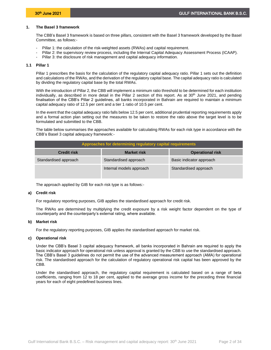# <span id="page-3-0"></span>**1. The Basel 3 framework**

The CBB's Basel 3 framework is based on three pillars, consistent with the Basel 3 framework developed by the Basel Committee, as follows:-

- Pillar 1: the calculation of the risk-weighted assets (RWAs) and capital requirement.
- Pillar 2: the supervisory review process, including the Internal Capital Adequacy Assessment Process (ICAAP).
- <span id="page-3-1"></span>Pillar 3: the disclosure of risk management and capital adequacy information.

#### **1.1 Pillar 1**

Pillar 1 prescribes the basis for the calculation of the regulatory capital adequacy ratio. Pillar 1 sets out the definition and calculations of the RWAs, and the derivation of the regulatory capital base. The capital adequacy ratio is calculated by dividing the regulatory capital base by the total RWAs.

With the introduction of Pillar 2, the CBB will implement a minimum ratio threshold to be determined for each institution individually, as described in more detail in the Pillar 2 section of this report. As at  $30<sup>th</sup>$  June 2021, and pending finalisation of the CBB's Pillar 2 guidelines, all banks incorporated in Bahrain are required to maintain a minimum capital adequacy ratio of 12.5 per cent and a tier 1 ratio of 10.5 per cent.

In the event that the capital adequacy ratio falls below 12.5 per cent, additional prudential reporting requirements apply and a formal action plan setting out the measures to be taken to restore the ratio above the target level is to be formulated and submitted to the CBB.

The table below summarises the approaches available for calculating RWAs for each risk type in accordance with the CBB's Basel 3 capital adequacy framework:-

| Approaches for determining regulatory capital requirements |                          |                          |  |  |  |  |
|------------------------------------------------------------|--------------------------|--------------------------|--|--|--|--|
| <b>Credit risk</b>                                         | <b>Market risk</b>       | <b>Operational risk</b>  |  |  |  |  |
| Standardised approach                                      | Standardised approach    | Basic indicator approach |  |  |  |  |
|                                                            | Internal models approach | Standardised approach    |  |  |  |  |

The approach applied by GIB for each risk type is as follows:-

#### **a) Credit risk**

For regulatory reporting purposes, GIB applies the standardised approach for credit risk.

The RWAs are determined by multiplying the credit exposure by a risk weight factor dependent on the type of counterparty and the counterparty's external rating, where available.

#### **b) Market risk**

For the regulatory reporting purposes, GIB applies the standardised approach for market risk.

# **c) Operational risk**

Under the CBB's Basel 3 capital adequacy framework, all banks incorporated in Bahrain are required to apply the basic indicator approach for operational risk unless approval is granted by the CBB to use the standardised approach. The CBB's Basel 3 guidelines do not permit the use of the advanced measurement approach (AMA) for operational risk. The standardised approach for the calculation of regulatory operational risk capital has been approved by the CBB.

Under the standardised approach, the regulatory capital requirement is calculated based on a range of beta coefficients, ranging from 12 to 18 per cent, applied to the average gross income for the preceding three financial years for each of eight predefined business lines.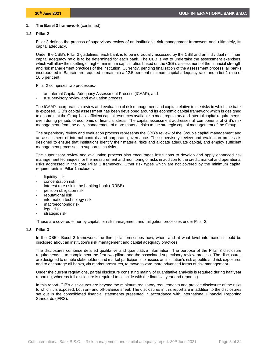# **1. The Basel 3 framework** (continued)

# **1.2 Pillar 2**

<span id="page-4-0"></span>Pillar 2 defines the process of supervisory review of an institution's risk management framework and, ultimately, its capital adequacy.

Under the CBB's Pillar 2 guidelines, each bank is to be individually assessed by the CBB and an individual minimum capital adequacy ratio is to be determined for each bank. The CBB is yet to undertake the assessment exercises, which will allow their setting of higher minimum capital ratios based on the CBB's assessment of the financial strength and risk management practices of the institution. Currently, pending finalisation of the assessment process, all banks incorporated in Bahrain are required to maintain a 12.5 per cent minimum capital adequacy ratio and a tier 1 ratio of 10.5 per cent.

Pillar 2 comprises two processes:-

- an Internal Capital Adequacy Assessment Process (ICAAP), and
- a supervisory review and evaluation process.

The ICAAP incorporates a review and evaluation of risk management and capital relative to the risks to which the bank is exposed. GIB's capital assessment has been developed around its economic capital framework which is designed to ensure that the Group has sufficient capital resources available to meet regulatory and internal capital requirements, even during periods of economic or financial stress. The capital assessment addresses all components of GIB's risk management, from the daily management of more material risks to the strategic capital management of the Group.

The supervisory review and evaluation process represents the CBB's review of the Group's capital management and an assessment of internal controls and corporate governance. The supervisory review and evaluation process is designed to ensure that institutions identify their material risks and allocate adequate capital, and employ sufficient management processes to support such risks.

The supervisory review and evaluation process also encourages institutions to develop and apply enhanced risk management techniques for the measurement and monitoring of risks in addition to the credit, market and operational risks addressed in the core Pillar 1 framework. Other risk types which are not covered by the minimum capital requirements in Pillar 1 include:-.

- liquidity risk
- concentration risk
- interest rate risk in the banking book (IRRBB)
- pension obligation risk
- reputational risk
- information technology risk
- macroeconomic risk
- legal risk
- strategic risk

<span id="page-4-1"></span>These are covered either by capital, or risk management and mitigation processes under Pillar 2.

# **1.3 Pillar 3**

In the CBB's Basel 3 framework, the third pillar prescribes how, when, and at what level information should be disclosed about an institution's risk management and capital adequacy practices.

The disclosures comprise detailed qualitative and quantitative information. The purpose of the Pillar 3 disclosure requirements is to complement the first two pillars and the associated supervisory review process. The disclosures are designed to enable stakeholders and market participants to assess an institution's risk appetite and risk exposures and to encourage all banks, via market pressures, to move toward more advanced forms of risk management.

Under the current regulations, partial disclosure consisting mainly of quantitative analysis is required during half year reporting, whereas full disclosure is required to coincide with the financial year end reporting.

In this report, GIB's disclosures are beyond the minimum regulatory requirements and provide disclosure of the risks to which it is exposed, both on- and off-balance sheet. The disclosures in this report are in addition to the disclosures set out in the consolidated financial statements presented in accordance with International Financial Reporting Standards (IFRS).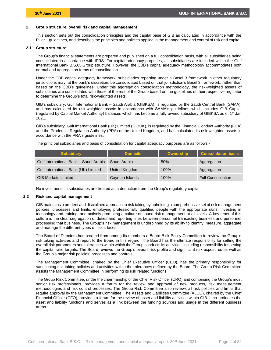# <span id="page-5-0"></span>**2. Group structure, overall risk and capital management**

This section sets out the consolidation principles and the capital base of GIB as calculated in accordance with the Pillar 1 guidelines, and describes the principles and policies applied in the management and control of risk and capital.

# **2.1 Group structure**

<span id="page-5-1"></span>The Group's financial statements are prepared and published on a full consolidation basis, with all subsidiaries being consolidated in accordance with IFRS. For capital adequacy purposes, all subsidiaries are included within the Gulf International Bank B.S.C. Group structure. However, the CBB's capital adequacy methodology accommodates both normal and aggregation forms of consolidation.

Under the CBB capital adequacy framework, subsidiaries reporting under a Basel 3 framework in other regulatory jurisdictions may, at the bank's discretion, be consolidated based on that jurisdiction's Basel 3 framework, rather than based on the CBB's guidelines. Under this aggregation consolidation methodology, the risk-weighted assets of subsidiaries are consolidated with those of the rest of the Group based on the guidelines of their respective regulator to determine the Group's total risk-weighted assets.

GIB's subsidiary, Gulf International Bank – Saudi Arabia (GIBKSA), is regulated by the Saudi Central Bank (SAMA), and has calculated its risk-weighted assets in accordance with SAMA's guidelines which includes GIB Capital (regulated by Capital Market Authority) balances which has become a fully owned subsidiary of GIBKSA as of 1<sup>st</sup> Jan 2021.

GIB's subsidiary, Gulf International Bank (UK) Limited (GIBUK), is regulated by the Financial Conduct Authority (FCA) and the Prudential Regulation Authority (PRA) of the United Kingdom, and has calculated its risk-weighted assets in accordance with the PRA's guidelines.

The principal subsidiaries and basis of consolidation for capital adequacy purposes are as follows:-

| <b>Subsidiary</b>                      | <b>Domicile</b> | Ownership | <b>Consolidation basis</b> |
|----------------------------------------|-----------------|-----------|----------------------------|
| Gulf International Bank - Saudi Arabia | Saudi Arabia    | 50%       | Aggregation                |
| Gulf International Bank (UK) Limited   | United Kingdom  | 100%      | Aggregation                |
| <b>GIB Markets Limited</b>             | Cayman Islands  | 100%      | <b>Full Consolidation</b>  |

<span id="page-5-2"></span>No investments in subsidiaries are treated as a deduction from the Group's regulatory capital.

# **2.2 Risk and capital management**

GIB maintains a prudent and disciplined approach to risk taking by upholding a comprehensive set of risk management policies, processes and limits, employing professionally qualified people with the appropriate skills, investing in technology and training, and actively promoting a culture of sound risk management at all levels. A key tenet of this culture is the clear segregation of duties and reporting lines between personnel transacting business and personnel processing that business. The Group's risk management is underpinned by its ability to identify, measure, aggregate and manage the different types of risk it faces.

The Board of Directors has created from among its members a Board Risk Policy Committee to review the Group's risk taking activities and report to the Board in this regard. The Board has the ultimate responsibility for setting the overall risk parameters and tolerances within which the Group conducts its activities, including responsibility for setting the capital ratio targets. The Board reviews the Group's overall risk profile and significant risk exposures as well as the Group's major risk policies, processes and controls.

The Management Committee, chaired by the Chief Executive Officer (CEO), has the primary responsibility for sanctioning risk taking policies and activities within the tolerances defined by the Board. The Group Risk Committee assists the Management Committee in performing its risk related functions.

The Group Risk Committee, under the chairmanship of the Chief Risk Officer (CRO) and comprising the Group's most senior risk professionals, provides a forum for the review and approval of new products, risk measurement methodologies and risk control processes. The Group Risk Committee also reviews all risk policies and limits that require approval by the Management Committee. The Assets and Liabilities Committee (ALCO), chaired by the Chief Financial Officer (CFO), provides a forum for the review of asset and liability activities within GIB. It co-ordinates the asset and liability functions and serves as a link between the funding sources and usage in the different business areas.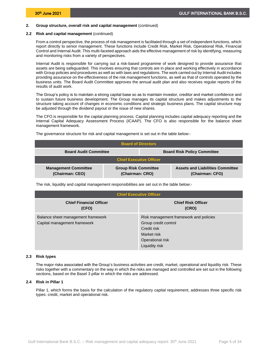### **2.2 Risk and capital management** (continued)

From a control perspective, the process of risk management is facilitated through a set of independent functions, which report directly to senior management. These functions include Credit Risk, Market Risk, Operational Risk, Financial Control and Internal Audit. This multi-faceted approach aids the effective management of risk by identifying, measuring and monitoring risks from a variety of perspectives.

Internal Audit is responsible for carrying out a risk-based programme of work designed to provide assurance that assets are being safeguarded. This involves ensuring that controls are in place and working effectively in accordance with Group policies and procedures as well as with laws and regulations. The work carried out by Internal Audit includes providing assurance on the effectiveness of the risk management functions, as well as that of controls operated by the business units. The Board Audit Committee approves the annual audit plan and also receives regular reports of the results of audit work.

The Group's policy is to maintain a strong capital base so as to maintain investor, creditor and market confidence and to sustain future business development. The Group manages its capital structure and makes adjustments to the structure taking account of changes in economic conditions and strategic business plans. The capital structure may be adjusted through the dividend payout or the issue of new shares.

The CFO is responsible for the capital planning process. Capital planning includes capital adequacy reporting and the Internal Capital Adequacy Assessment Process (ICAAP). The CFO is also responsible for the balance sheet management framework.

| <b>Board of Directors</b>                                          |                                                |  |                                                            |  |  |
|--------------------------------------------------------------------|------------------------------------------------|--|------------------------------------------------------------|--|--|
| <b>Board Audit Committee</b><br><b>Board Risk Policy Committee</b> |                                                |  |                                                            |  |  |
| <b>Chief Executive Officer</b>                                     |                                                |  |                                                            |  |  |
| <b>Management Committee</b><br>(Chairman: CEO)                     | <b>Group Risk Committee</b><br>(Chairman: CRO) |  | <b>Assets and Liabilities Committee</b><br>(Chairman: CFO) |  |  |

The governance structure for risk and capital management is set out in the table below:-

The risk, liquidity and capital management responsibilities are set out in the table below:-

| <b>Chief Executive Officer</b>                                     |                                                                                                                                    |  |  |  |  |
|--------------------------------------------------------------------|------------------------------------------------------------------------------------------------------------------------------------|--|--|--|--|
| <b>Chief Financial Officer</b><br>(CFO)                            | <b>Chief Risk Officer</b><br>(CRO)                                                                                                 |  |  |  |  |
| Balance sheet management framework<br>Capital management framework | Risk management framework and policies<br>Group credit control<br>Credit risk<br>Market risk<br>Operational risk<br>Liquidity risk |  |  |  |  |

# **2.3 Risk types**

<span id="page-6-0"></span>The major risks associated with the Group's business activities are credit, market, operational and liquidity risk. These risks together with a commentary on the way in which the risks are managed and controlled are set out in the following sections, based on the Basel 3 pillar in which the risks are addressed.

# **2.4 Risk in Pillar 1**

<span id="page-6-1"></span>Pillar 1, which forms the basis for the calculation of the regulatory capital requirement, addresses three specific risk types: credit, market and operational risk.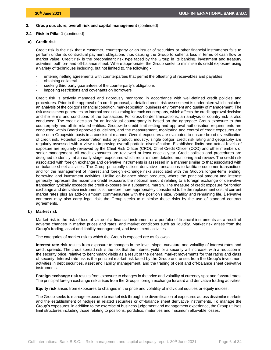# **2.4 Risk in Pillar 1** (continued)

30th June 2021

### **a) Credit risk**

Credit risk is the risk that a customer, counterparty or an issuer of securities or other financial instruments fails to perform under its contractual payment obligations thus causing the Group to suffer a loss in terms of cash flow or market value. Credit risk is the predominant risk type faced by the Group in its banking, investment and treasury activities, both on- and off-balance sheet. Where appropriate, the Group seeks to minimise its credit exposure using a variety of techniques including, but not limited to, the following:-

- entering netting agreements with counterparties that permit the offsetting of receivables and payables
- obtaining collateral
- seeking third party guarantees of the counterparty's obligations
- imposing restrictions and covenants on borrowers

Credit risk is actively managed and rigorously monitored in accordance with well-defined credit policies and procedures. Prior to the approval of a credit proposal, a detailed credit risk assessment is undertaken which includes an analysis of the obligor's financial condition, market position, business environment and quality of management. The risk assessment generates an internal credit risk rating for each counterparty, which affects the credit approval decision and the terms and conditions of the transaction. For cross-border transactions, an analysis of country risk is also conducted. The credit decision for an individual counterparty is based on the aggregate Group exposure to that counterparty and all its related entities. Groupwide credit limit setting and approval authorisation requirements are conducted within Board approved guidelines, and the measurement, monitoring and control of credit exposures are done on a Groupwide basis in a consistent manner. Overall exposures are evaluated to ensure broad diversification of credit risk. Potential concentration risks by product, industry, single obligor, credit risk rating and geography are regularly assessed with a view to improving overall portfolio diversification. Established limits and actual levels of exposure are regularly reviewed by the Chief Risk Officer (CRO), Chief Credit Officer (CCO) and other members of senior management. All credit exposures are reviewed at least once a year. Credit policies and procedures are designed to identify, at an early stage, exposures which require more detailed monitoring and review. The credit risk associated with foreign exchange and derivative instruments is assessed in a manner similar to that associated with on-balance sheet activities. The Group principally utilises derivative transactions to facilitate customer transactions and for the management of interest and foreign exchange risks associated with the Group's longer-term lending, borrowing and investment activities. Unlike on-balance sheet products, where the principal amount and interest generally represent the maximum credit exposure, the notional amount relating to a foreign exchange or derivative transaction typically exceeds the credit exposure by a substantial margin. The measure of credit exposure for foreign exchange and derivative instruments is therefore more appropriately considered to be the replacement cost at current market rates plus an add-on amount commensurate with the position's size, volatility and remaining life. Derivative contracts may also carry legal risk; the Group seeks to minimise these risks by the use of standard contract agreements.

# **b) Market risk**

Market risk is the risk of loss of value of a financial instrument or a portfolio of financial instruments as a result of adverse changes in market prices and rates, and market conditions such as liquidity. Market risk arises from the Group's trading, asset and liability management, and investment activities.

The categories of market risk to which the Group is exposed are as follows:-

**Interest rate risk** results from exposure to changes in the level, slope, curvature and volatility of interest rates and credit spreads. The credit spread risk is the risk that the interest yield for a security will increase, with a reduction in the security price, relative to benchmark yields as a result of the general market movements for that rating and class of security. Interest rate risk is the principal market risk faced by the Group and arises from the Group's investment activities in debt securities, asset and liability management, and the trading of debt and off-balance sheet derivative instruments.

**Foreign exchange risk** results from exposure to changes in the price and volatility of currency spot and forward rates. The principal foreign exchange risk arises from the Group's foreign exchange forward and derivative trading activities.

**Equity risk** arises from exposures to changes in the price and volatility of individual equities or equity indices.

The Group seeks to manage exposure to market risk through the diversification of exposures across dissimilar markets and the establishment of hedges in related securities or off-balance sheet derivative instruments. To manage the Group's exposures, in addition to the exercise of business judgement and management experience, the Group utilises limit structures including those relating to positions, portfolios, maturities and maximum allowable losses.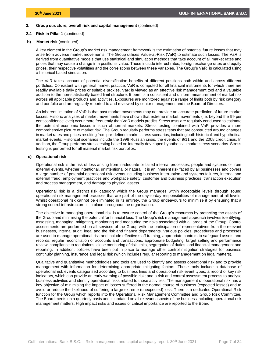### **2.4 Risk in Pillar 1** (continued)

### **b) Market risk** (continued)

A key element in the Group's market risk management framework is the estimation of potential future losses that may arise from adverse market movements. The Group utilises Value-at-Risk (VaR) to estimate such losses. The VaR is derived from quantitative models that use statistical and simulation methods that take account of all market rates and prices that may cause a change in a position's value. These include interest rates, foreign exchange rates and equity prices, their respective volatilities and the correlations between these variables. The Group's VaR is calculated using a historical based simulation.

The VaR takes account of potential diversification benefits of different positions both within and across different portfolios. Consistent with general market practice, VaR is computed for all financial instruments for which there are readily available daily prices or suitable proxies. VaR is viewed as an effective risk management tool and a valuable addition to the non-statistically based limit structure. It permits a consistent and uniform measurement of market risk across all applicable products and activities. Exposures are monitored against a range of limits both by risk category and portfolio and are regularly reported to and reviewed by senior management and the Board of Directors.

An inherent limitation of VaR is that past market movements may not provide an accurate prediction of future market losses. Historic analyses of market movements have shown that extreme market movements (i.e. beyond the 99 per cent confidence level) occur more frequently than VaR models predict. Stress tests are regularly conducted to estimate the potential economic losses in such abnormal markets. Stress testing combined with VaR provides a more comprehensive picture of market risk. The Group regularly performs stress tests that are constructed around changes in market rates and prices resulting from pre-defined market stress scenarios, including both historical and hypothetical market events. Historical scenarios include the 1998 Russian crisis, the events of 9/11 and the 2008 credit crisis. In addition, the Group performs stress testing based on internally developed hypothetical market stress scenarios. Stress testing is performed for all material market risk portfolios.

### **c) Operational risk**

Operational risk is the risk of loss arising from inadequate or failed internal processes, people and systems or from external events, whether intentional, unintentional or natural. It is an inherent risk faced by all businesses and covers a large number of potential operational risk events including business interruption and systems failures, internal and external fraud, employment practices and workplace safety, customer and business practices, transaction execution and process management, and damage to physical assets.

Operational risk is a distinct risk category which the Group manages within acceptable levels through sound operational risk management practices that are part of the day-to-day responsibilities of management at all levels. Whilst operational risk cannot be eliminated in its entirety, the Group endeavours to minimise it by ensuring that a strong control infrastructure is in place throughout the organisation.

The objective in managing operational risk is to ensure control of the Group's resources by protecting the assets of the Group and minimising the potential for financial loss. The Group's risk management approach involves identifying, assessing, managing, mitigating, monitoring and measuring the risks associated with all areas of the Group. Control assessments are performed on all services of the Group with the participation of representatives from the relevant businesses, internal audit, legal and the risk and finance departments. Various policies, procedures and processes are used to manage operational risk and include effective staff training, appropriate controls to safeguard assets and records, regular reconciliation of accounts and transactions, appropriate budgeting, target setting and performance review, compliance to regulations, close monitoring of risk limits, segregation of duties, and financial management and reporting. In addition, policies have been put in place to manage other control mitigation strategies for business continuity planning, insurance and legal risk (which includes regular reporting to management on legal matters).

Qualitative and quantitative methodologies and tools are used to identify and assess operational risk and to provide management with information for determining appropriate mitigating factors. These tools include a database of operational risk events categorised according to business lines and operational risk event types; a record of key risk indicators, which can provide an early warning of possible risk; and a risk and control assessment process to analyse business activities and identify operational risks related to those activities. The management of operational risk has a key objective of minimising the impact of losses suffered in the normal course of business (expected losses) and to avoid or reduce the likelihood of suffering a large extreme (unexpected) loss. There is a dedicated Operational Risk function for the Group which reports into the Operational Risk Management Committee and Group Risk Committee. The Board meets on a quarterly basis and is updated on all relevant aspects of the business including operational risk management matters. High impact risks and issues of critical importance are reported to the Board.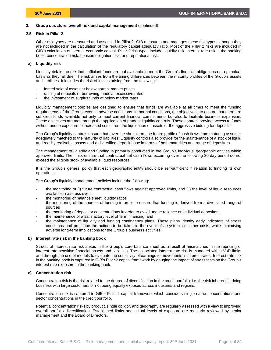# **2.5 Risk in Pillar 2**

<span id="page-9-0"></span>Other risk types are measured and assessed in Pillar 2. GIB measures and manages these risk types although they are not included in the calculation of the regulatory capital adequacy ratio. Most of the Pillar 2 risks are included in GIB's calculation of internal economic capital. Pillar 2 risk types include liquidity risk, interest rate risk in the banking book, concentration risk, pension obligation risk, and reputational risk.

# **a) Liquidity risk**

Liquidity risk is the risk that sufficient funds are not available to meet the Group's financial obligations on a punctual basis as they fall due. The risk arises from the timing differences between the maturity profiles of the Group's assets and liabilities. It includes the risk of losses arising from the following:-

- forced sale of assets at below normal market prices
- raising of deposits or borrowing funds at excessive rates
- the investment of surplus funds at below market rates

Liquidity management policies are designed to ensure that funds are available at all times to meet the funding requirements of the Group, even in adverse conditions. In normal conditions, the objective is to ensure that there are sufficient funds available not only to meet current financial commitments but also to facilitate business expansion. These objectives are met through the application of prudent liquidity controls. These controls provide access to funds without undue exposure to increased costs from the liquidation of assets or the aggressive bidding for deposits.

The Group's liquidity controls ensure that, over the short-term, the future profile of cash flows from maturing assets is adequately matched to the maturity of liabilities. Liquidity controls also provide for the maintenance of a stock of liquid and readily realisable assets and a diversified deposit base in terms of both maturities and range of depositors.

The management of liquidity and funding is primarily conducted in the Group's individual geographic entities within approved limits. The limits ensure that contractual net cash flows occurring over the following 30 day period do not exceed the eligible stock of available liquid resources.

It is the Group's general policy that each geographic entity should be self-sufficient in relation to funding its own operations.

The Group's liquidity management policies include the following:-

- the monitoring of (i) future contractual cash flows against approved limits, and (ii) the level of liquid resources available in a stress event
- the monitoring of balance sheet liquidity ratios
- the monitoring of the sources of funding in order to ensure that funding is derived from a diversified range of sources
- the monitoring of depositor concentrations in order to avoid undue reliance on individual depositors
- the maintenance of a satisfactory level of term financing; and
- the maintenance of liquidity and funding contingency plans. These plans identify early indicators of stress conditions and prescribe the actions to be taken in the event of a systemic or other crisis, while minimising adverse long-term implications for the Group's business activities.

# **b) Interest rate risk in the banking book**

Structural interest rate risk arises in the Group's core balance sheet as a result of mismatches in the repricing of interest rate sensitive financial assets and liabilities. The associated interest rate risk is managed within VaR limits and through the use of models to evaluate the sensitivity of earnings to movements in interest rates. Interest rate risk in the banking book is captured in GIB's Pillar 2 capital framework by gauging the impact of stress tests on the Group's interest rate exposure in the banking book.

# **c) Concentration risk**

Concentration risk is the risk related to the degree of diversification in the credit portfolio, i.e. the risk inherent in doing business with large customers or not being equally exposed across industries and regions.

Concentration risk is captured in GIB's Pillar 2 capital framework which considers single-name concentrations and sector concentrations in the credit portfolio.

Potential concentration risks by product, single obligor, and geography are regularly assessed with a view to improving overall portfolio diversification. Established limits and actual levels of exposure are regularly reviewed by senior management and the Board of Directors.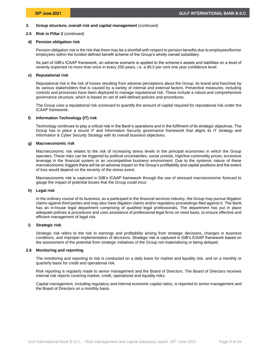# **2.5 Risk in Pillar 2** (continued)

### **d) Pension obligation risk**

Pension obligation risk is the risk that there may be a shortfall with respect to pension benefits due to employees/former employees within the funded defined benefit scheme of the Group's wholly owned subsidiary.

As part of GIB's ICAAP framework, an adverse scenario is applied to the scheme's assets and liabilities on a level of severity expected no more than once in every 200 years, i.e. a 99.5 per cent one year confidence level.

## **e) Reputational risk**

Reputational risk is the risk of losses resulting from adverse perceptions about the Group, its brand and franchise by its various stakeholders that is caused by a variety of internal and external factors. Preventive measures, including controls and processes have been deployed to manage reputational risk. These include a robust and comprehensive governance structure, which is based on set of well-defined policies and procedures.

The Group uses a reputational risk scorecard to quantify the amount of capital required for reputational risk under the ICAAP framework.

# **f) Information Technology (IT) risk**

Technology continues to play a critical role in the Bank's operations and in the fulfilment of its strategic objectives. The Group has in place a sound IT and Information Security governance framework that aligns its IT strategy and Information & Cyber Security Strategy with its overall business objectives.

# **g) Macroeconomic risk**

Macroeconomic risk relates to the risk of increasing stress levels in the principal economies in which the Group operates. These risks can be triggered by political uncertainties, social unrests, high/low commodity prices, excessive leverage in the financial system or an uncompetitive business environment. Due to the systemic nature of these macroeconomic triggers there will be an adverse impact on the Group's profitability and capital positions and the extent of loss would depend on the severity of the stress event.

Macroeconomic risk is captured in GIB's ICAAP framework through the use of stressed macroeconomic forecast to gauge the impact of potential losses that the Group could incur.

# **h) Legal risk**

In the ordinary course of its business, as a participant in the financial services industry, the Group may pursue litigation claims against third parties and may also have litigation claims and/or regulatory proceedings filed against it. The Bank has an in-house legal department comprising of qualified legal professionals. The department has put in place adequate policies & procedures and uses assistance of professional legal firms on need basis, to ensure effective and efficient management of legal risk.

#### **i) Strategic risk**

Strategic risk refers to the risk to earnings and profitability arising from strategic decisions, changes in business conditions, and improper implementation of decisions. Strategic risk is captured in GIB's ICAAP framework based on the assessment of the potential from strategic initiatives of the Group not materialising or being delayed.

#### **2.6 Monitoring and reporting**

<span id="page-10-0"></span>The monitoring and reporting to risk is conducted on a daily basis for market and liquidity risk, and on a monthly or quarterly basis for credit and operational risk.

Risk reporting is regularly made to senior management and the Board of Directors. The Board of Directors receives internal risk reports covering market, credit, operational and liquidity risks.

Capital management, including regulatory and internal economic capital ratios, is reported to senior management and the Board of Directors on a monthly basis.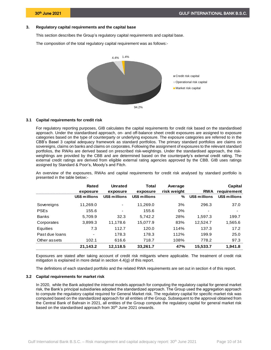# <span id="page-11-0"></span>**3. Regulatory capital requirements and the capital base**

This section describes the Group's regulatory capital requirements and capital base.

The composition of the total regulatory capital requirement was as follows:-



#### **3.1 Capital requirements for credit risk**

<span id="page-11-1"></span>For regulatory reporting purposes, GIB calculates the capital requirements for credit risk based on the standardised approach. Under the standardised approach, on- and off-balance sheet credit exposures are assigned to exposure categories based on the type of counterparty or underlying exposure. The exposure categories are referred to in the CBB's Basel 3 capital adequacy framework as standard portfolios. The primary standard portfolios are claims on sovereigns, claims on banks and claims on corporates. Following the assignment of exposures to the relevant standard portfolios, the RWAs are derived based on prescribed risk-weightings. Under the standardised approach, the riskweightings are provided by the CBB and are determined based on the counterparty's external credit rating. The external credit ratings are derived from eligible external rating agencies approved by the CBB. GIB uses ratings assigned by Standard & Poor's, Moody's and Fitch.

An overview of the exposures, RWAs and capital requirements for credit risk analysed by standard portfolio is presented in the table below:-

|                | Rated<br>exposure        | <b>Unrated</b><br>exposure | Total<br>exposure | Average<br>risk weight | <b>RWA</b>    | Capital<br>requirement |
|----------------|--------------------------|----------------------------|-------------------|------------------------|---------------|------------------------|
|                | US\$ millions            | US\$ millions              | US\$ millions     | %                      | US\$ millions | US\$ millions          |
| Sovereigns     | 11.269.0                 |                            | 11,269.0          | 3%                     | 296.3         | 37.0                   |
| <b>PSEs</b>    | 155.6                    |                            | 155.6             | 0%                     | ٠             |                        |
| <b>Banks</b>   | 5.709.9                  | 32.3                       | 5.742.2           | 28%                    | 1.597.3       | 199.7                  |
| Corporates     | 3,899.3                  | 11,178.6                   | 15,077.9          | 83%                    | 12,524.7      | 1,565.6                |
| Equities       | 7.3                      | 112.7                      | 120.0             | 114%                   | 137.3         | 17.2                   |
| Past due loans | $\overline{\phantom{0}}$ | 178.3                      | 178.3             | 112%                   | 199.9         | 25.0                   |
| Other assets   | 102.1                    | 616.6                      | 718.7             | 108%                   | 778.2         | 97.3                   |
|                | 21,143.2                 | 12,118.5                   | 33,261.7          | 47%                    | 15,533.7      | 1,941.8                |

Exposures are stated after taking account of credit risk mitigants where applicable. The treatment of credit risk mitigation is explained in more detail in section 4.4(g) of this report.

<span id="page-11-2"></span>The definitions of each standard portfolio and the related RWA requirements are set out in section 4 of this report.

### **3.2 Capital requirements for market risk**

In 2020, while the Bank adopted the internal models approach for computing the regulatory capital for general market risk, the Bank's principal subsidiaries adopted the standardized approach. The Group used the aggregation approach to compute the regulatory capital required for General Market risk. The regulatory capital for specific market risk was computed based on the standardized approach for all entities of the Group. Subsequent to the approval obtained from the Central Bank of Bahrain in 2021, all entities of the Group compute the regulatory capital for general market risk based on the standardised approach from 30<sup>th</sup> June 2021 onwards.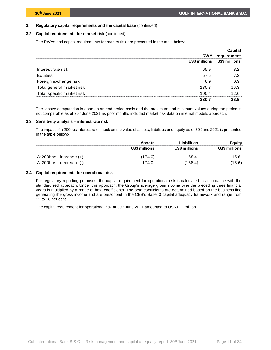# **3. Regulatory capital requirements and the capital base** (continued)

## **3.2 Capital requirements for market risk** (continued)

The RWAs and capital requirements for market risk are presented in the table below:-

|                            |               | Capital                |
|----------------------------|---------------|------------------------|
|                            |               | <b>RWA</b> requirement |
|                            | US\$ millions | US\$ millions          |
| Interest rate risk         | 65.9          | 8.2                    |
| Equities                   | 57.5          | 7.2                    |
| Foreign exchange risk      | 6.9           | 0.9                    |
| Total general market risk  | 130.3         | 16.3                   |
| Total specific market risk | 100.4         | 12.6                   |
|                            | 230.7         | 28.9                   |

The above computation is done on an end period basis and the maximum and minimum values during the period is not comparable as of 30<sup>th</sup> June 2021 as prior months included market risk data on internal models approach.

# **3.3 Sensitivity analysis – interest rate risk**

<span id="page-12-0"></span>The impact of a 200bps interest rate shock on the value of assets, liabilities and equity as of 30 June 2021 is presented in the table below:-

|                            | <b>Assets</b> | Liabilities   | Equity        |
|----------------------------|---------------|---------------|---------------|
|                            | US\$ millions | US\$ millions | US\$ millions |
| At 200bps - increase $(+)$ | (174.0)       | 158.4         | 15.6          |
| At 200bps - decrease (-)   | 174.0         | (158.4)       | (15.6)        |

# **3.4 Capital requirements for operational risk**

<span id="page-12-1"></span>For regulatory reporting purposes, the capital requirement for operational risk is calculated in accordance with the standardised approach. Under this approach, the Group's average gross income over the preceding three financial years is multiplied by a range of beta coefficients. The beta coefficients are determined based on the business line generating the gross income and are prescribed in the CBB's Basel 3 capital adequacy framework and range from 12 to 18 per cent.

The capital requirement for operational risk at 30<sup>th</sup> June 2021 amounted to US\$91.2 million.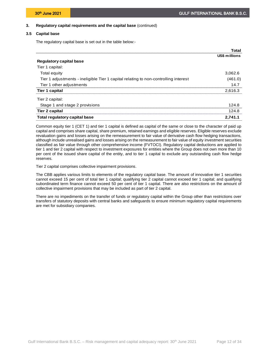# **3. Regulatory capital requirements and the capital base** (continued)

# **3.5 Capital base**

<span id="page-13-0"></span>The regulatory capital base is set out in the table below:-

|                                                                                     | Total         |
|-------------------------------------------------------------------------------------|---------------|
|                                                                                     | US\$ millions |
| Regulatory capital base                                                             |               |
| Tier 1 capital:                                                                     |               |
| <b>Total equity</b>                                                                 | 3,062.6       |
| Tier 1 adjustments - ineligible Tier 1 capital relating to non-controlling interest | (461.0)       |
| Tier 1 other adjustments                                                            | 147           |
| Tier 1 capital                                                                      | 2,616.3       |
| Tier 2 capital:                                                                     |               |
| Stage 1 and stage 2 provisions                                                      | 124 R         |
| Tier 2 capital                                                                      | 124.8         |
| <b>Total regulatory capital base</b>                                                | 2.741.1       |

Common equity tier 1 (CET 1) and tier 1 capital is defined as capital of the same or close to the character of paid up capital and comprises share capital, share premium, retained earnings and eligible reserves. Eligible reserves exclude revaluation gains and losses arising on the remeasurement to fair value of derivative cash flow hedging transactions, although include unrealised gains and losses arising on the remeasurement to fair value of equity investment securities classified as fair value through other comprehensive income (FVTOCI). Regulatory capital deductions are applied to tier 1 and tier 2 capital with respect to investment exposures for entities where the Group does not own more than 10 per cent of the issued share capital of the entity, and to tier 1 capital to exclude any outstanding cash flow hedge reserves.

Tier 2 capital comprises collective impairment provisions.

The CBB applies various limits to elements of the regulatory capital base. The amount of innovative tier 1 securities cannot exceed 15 per cent of total tier 1 capital; qualifying tier 2 capital cannot exceed tier 1 capital; and qualifying subordinated term finance cannot exceed 50 per cent of tier 1 capital. There are also restrictions on the amount of collective impairment provisions that may be included as part of tier 2 capital.

There are no impediments on the transfer of funds or regulatory capital within the Group other than restrictions over transfers of statutory deposits with central banks and safeguards to ensure minimum regulatory capital requirements are met for subsidiary companies.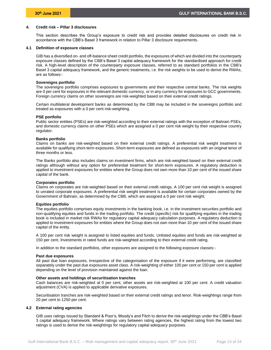# <span id="page-14-0"></span>**4. Credit risk – Pillar 3 disclosures**

This section describes the Group's exposure to credit risk and provides detailed disclosures on credit risk in accordance with the CBB's Basel 3 framework in relation to Pillar 3 disclosure requirements.

# **4.1 Definition of exposure classes**

<span id="page-14-1"></span>GIB has a diversified on- and off-balance sheet credit portfolio, the exposures of which are divided into the counterparty exposure classes defined by the CBB's Basel 3 capital adequacy framework for the standardised approach for credit risk. A high-level description of the counterparty exposure classes, referred to as standard portfolios in the CBB's Basel 3 capital adequacy framework, and the generic treatments, i.e. the risk weights to be used to derive the RWAs, are as follows:-

### **Sovereigns portfolio**

The sovereigns portfolio comprises exposures to governments and their respective central banks. The risk weights are 0 per cent for exposures in the relevant domestic currency, or in any currency for exposures to GCC governments. Foreign currency claims on other sovereigns are risk-weighted based on their external credit ratings.

Certain multilateral development banks as determined by the CBB may be included in the sovereigns portfolio and treated as exposures with a 0 per cent risk-weighting.

### **PSE portfolio**

Public sector entities (PSEs) are risk-weighted according to their external ratings with the exception of Bahrain PSEs, and domestic currency claims on other PSEs which are assigned a 0 per cent risk weight by their respective country regulator.

### **Banks portfolio**

Claims on banks are risk-weighted based on their external credit ratings. A preferential risk weight treatment is available for qualifying short-term exposures. Short-term exposures are defined as exposures with an original tenor of three months or less.

The Banks portfolio also includes claims on investment firms, which are risk-weighted based on their external credit ratings although without any option for preferential treatment for short-term exposures. A regulatory deduction is applied to investment exposures for entities where the Group does not own more than 10 per cent of the issued share capital of the bank.

#### **Corporates portfolio**

Claims on corporates are risk-weighted based on their external credit ratings. A 100 per cent risk weight is assigned to unrated corporate exposures. A preferential risk weight treatment is available for certain corporates owned by the Government of Bahrain, as determined by the CBB, which are assigned a 0 per cent risk weight.

#### **Equities portfolio**

The equities portfolio comprises equity investments in the banking book, i.e. in the investment securities portfolio and non-qualifying equities and funds in the trading portfolio. The credit (specific) risk for qualifying equities in the trading book is included in market risk RWAs for regulatory capital adequacy calculation purposes. A regulatory deduction is applied to investment exposures for entities where the Group does not own more than 10 per cent of the issued share capital of the entity.

A 100 per cent risk weight is assigned to listed equities and funds. Unlisted equities and funds are risk-weighted at 150 per cent. Investments in rated funds are risk-weighted according to their external credit rating.

In addition to the standard portfolios, other exposures are assigned to the following exposure classes:-

#### **Past due exposures**

All past due loan exposures, irrespective of the categorisation of the exposure if it were performing, are classified separately under the past due exposures asset class. A risk-weighting of either 100 per cent or 150 per cent is applied depending on the level of provision maintained against the loan.

#### **Other assets and holdings of securitisation tranches**

Cash balances are risk-weighted at 0 per cent, other assets are risk-weighted at 100 per cent. A credit valuation adjustment (CVA) is applied to applicable derivative exposures.

Securitisation tranches are risk-weighted based on their external credit ratings and tenor. Risk-weightings range from 20 per cent to 1250 per cent.

# **4.2 External rating agencies**

<span id="page-14-2"></span>GIB uses ratings issued by Standard & Poor's, Moody's and Fitch to derive the risk-weightings under the CBB's Basel 3 capital adequacy framework. Where ratings vary between rating agencies, the highest rating from the lowest two ratings is used to derive the risk-weightings for regulatory capital adequacy purposes.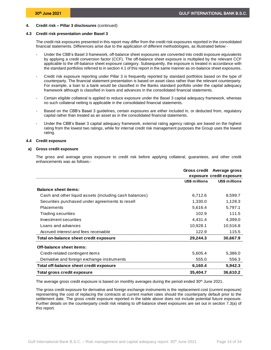### **4.3 Credit risk presentation under Basel 3**

<span id="page-15-0"></span>The credit risk exposures presented in this report may differ from the credit risk exposures reported in the consolidated financial statements. Differences arise due to the application of different methodologies, as illustrated below:-

- Under the CBB's Basel 3 framework, off-balance sheet exposures are converted into credit exposure equivalents by applying a credit conversion factor (CCF). The off-balance sheet exposure is multiplied by the relevant CCF applicable to the off-balance sheet exposure category. Subsequently, the exposure is treated in accordance with the standard portfolios referred to in section 4.1 of this report in the same manner as on-balance sheet exposures.
- Credit risk exposure reporting under Pillar 3 is frequently reported by standard portfolios based on the type of counterparty. The financial statement presentation is based on asset class rather than the relevant counterparty. For example, a loan to a bank would be classified in the Banks standard portfolio under the capital adequacy framework although is classified in loans and advances in the consolidated financial statements.
- Certain eligible collateral is applied to reduce exposure under the Basel 3 capital adequacy framework, whereas no such collateral netting is applicable in the consolidated financial statements.
- Based on the CBB's Basel 3 guidelines, certain exposures are either included in, or deducted from, regulatory capital rather than treated as an asset as in the consolidated financial statements.
- Under the CBB's Basel 3 capital adequacy framework, external rating agency ratings are based on the highest rating from the lowest two ratings, while for internal credit risk management purposes the Group uses the lowest rating.

# <span id="page-15-1"></span>**4.4 Credit exposure**

### **a) Gross credit exposure**

The gross and average gross exposure to credit risk before applying collateral, guarantees, and other credit enhancements was as follows:-

|                                                        |               | Gross credit Average gross |
|--------------------------------------------------------|---------------|----------------------------|
|                                                        |               | exposure credit exposure   |
|                                                        | US\$ millions | US\$ millions              |
| <b>Balance sheet items:</b>                            |               |                            |
| Cash and other liquid assets (including cash balances) | 6,712.6       | 8,599.7                    |
| Securities purchased under agreements to resell        | 1,330.0       | 1,128.3                    |
| <b>Placements</b>                                      | 5,616.4       | 5,797.1                    |
| Trading securities                                     | 102.9         | 111.5                      |
| Investment securities                                  | 4,431.4       | 4,399.0                    |
| Loans and advances                                     | 10,928.1      | 10,516.8                   |
| Accrued interest and fees receivable                   | 122.9         | 115.5                      |
| Total on-balance sheet credit exposure                 | 29,244.3      | 30,667.9                   |
| Off-balance sheet items:                               |               |                            |
| Credit-related contingent items                        | 5,605.4       | 5,386.0                    |
| Derivative and foreign exchange instruments            | 555.0         | 556.3                      |
| Total off-balance sheet credit exposure                | 6,160.4       | 5,942.3                    |
| Total gross credit exposure                            | 35,404.7      | 36,610.2                   |

The average gross credit exposure is based on monthly averages during the period ended 30<sup>th</sup> June 2021.

The gross credit exposure for derivative and foreign exchange instruments is the replacement cost (current exposure) representing the cost of replacing the contracts at current market rates should the counterparty default prior to the settlement date. The gross credit exposure reported in the table above does not include potential future exposure. Further details on the counterparty credit risk relating to off-balance sheet exposures are set out in section 7.3(a) of this report.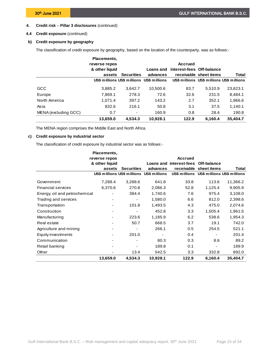# **4.4 Credit exposure** (continued)

# **b) Credit exposure by geography**

The classification of credit exposure by geography, based on the location of the counterparty, was as follows:-

|                      | Placements,<br>reverse repos |                   |                                           | <b>Accrued</b>            |                                           |          |
|----------------------|------------------------------|-------------------|-------------------------------------------|---------------------------|-------------------------------------------|----------|
|                      | & other liquid               |                   | Loans and                                 | interest-fees Off-balance |                                           |          |
|                      | assets                       | <b>Securities</b> | advances                                  |                           | receivable sheet items                    | Total    |
|                      |                              |                   | US\$ millions US\$ millions US\$ millions |                           | US\$ millions US\$ millions US\$ millions |          |
| GCC                  | 3,885.2                      | 3,642.7           | 10,500.6                                  | 83.7                      | 5.510.9                                   | 23,623.1 |
| Europe               | 7,869.1                      | 278.3             | 72.6                                      | 32.6                      | 231.5                                     | 8.484.1  |
| North America        | 1.071.4                      | 397.2             | 143.2                                     | 2.7                       | 352.1                                     | 1,966.6  |
| Asia                 | 832.6                        | 216.1             | 50.8                                      | 3.1                       | 37.5                                      | 1,140.1  |
| MENA (excluding GCC) | 0.7                          |                   | 160.9                                     | 0.8                       | 28.4                                      | 190.8    |
|                      | 13,659.0                     | 4.534.3           | 10.928.1                                  | 122.9                     | 6,160.4                                   | 35,404.7 |

The MENA region comprises the Middle East and North Africa.

# **c) Credit exposure by industrial sector**

The classification of credit exposure by industrial sector was as follows:-

|                               | Placements,    |                   |                                           |                                     |                                           |          |
|-------------------------------|----------------|-------------------|-------------------------------------------|-------------------------------------|-------------------------------------------|----------|
|                               | reverse repos  |                   |                                           | <b>Accrued</b>                      |                                           |          |
|                               | & other liquid |                   |                                           | Loans and interest-fees Off-balance |                                           |          |
|                               | assets         | <b>Securities</b> | advances                                  |                                     | receivable sheet items                    | Total    |
|                               |                |                   | US\$ millions US\$ millions US\$ millions |                                     | US\$ millions US\$ millions US\$ millions |          |
| Government                    | 7,288.4        | 3,288.6           | 641.8                                     | 33.8                                | 113.6                                     | 11,366.2 |
| <b>Financial services</b>     | 6,370.6        | 270.8             | 2,086.3                                   | 52.8                                | 1,125.4                                   | 9,905.9  |
| Energy, oil and petrochemical |                | 384.4             | 1,740.6                                   | 7.6                                 | 975.4                                     | 3,108.0  |
| Trading and services          |                |                   | 1,580.0                                   | 6.6                                 | 812.0                                     | 2,398.6  |
| Transportation                |                | 101.8             | 1,493.5                                   | 4.3                                 | 475.0                                     | 2,074.6  |
| Construction                  |                |                   | 452.8                                     | 3.3                                 | 1,505.4                                   | 1,961.5  |
| Manufacturing                 |                | 223.6             | 1,185.9                                   | 6.2                                 | 538.6                                     | 1,954.3  |
| Real estate                   |                | 50.7              | 668.5                                     | 3.7                                 | 19.1                                      | 742.0    |
| Agriculture and mining        |                |                   | 266.1                                     | 0.5                                 | 254.5                                     | 521.1    |
| Equity investments            |                | 201.0             |                                           | 0.4                                 |                                           | 201.4    |
| Communication                 |                |                   | 80.3                                      | 0.3                                 | 8.6                                       | 89.2     |
| Retail banking                |                |                   | 189.8                                     | 0.1                                 |                                           | 189.9    |
| Other                         |                | 13.4              | 542.5                                     | 3.3                                 | 332.8                                     | 892.0    |
|                               | 13,659.0       | 4,534.3           | 10,928.1                                  | 122.9                               | 6,160.4                                   | 35,404.7 |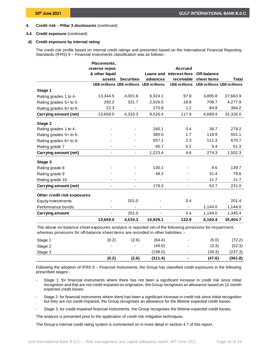# **4.4 Credit exposure** (continued)

# **d) Credit exposure by internal rating**

The credit risk profile based on internal credit ratings and presented based on the International Financial Reporting Standards (IFRS) 9 – Financial Instruments classification was as follows:-

|                             | Placements,    |                          |                                           |                |                                           |              |
|-----------------------------|----------------|--------------------------|-------------------------------------------|----------------|-------------------------------------------|--------------|
|                             | reverse repos  |                          |                                           | <b>Accrued</b> |                                           |              |
|                             | & other liquid |                          | Loans and                                 | interest-fees  | Off-balance                               |              |
|                             | assets         | <b>Securities</b>        | advances                                  |                | receivable sheet items                    | <b>Total</b> |
|                             |                |                          | US\$ millions US\$ millions US\$ millions |                | US\$ millions US\$ millions US\$ millions |              |
| Stage 1                     |                |                          |                                           |                |                                           |              |
| Rating grades 1 to 4-       | 13,344.5       | 4,001.6                  | 6,324.1                                   | 97.9           | 3,895.8                                   | 27,663.9     |
| Rating grades 5+ to 5-      | 292.2          | 331.7                    | 2,926.5                                   | 18.8           | 708.7                                     | 4,277.9      |
| Rating grades 6+ to 6-      | 22.3           |                          | 275.8                                     | 1.2            | 84.9                                      | 384.2        |
| Carrying amount (net)       | 13,659.0       | 4,333.3                  | 9,526.4                                   | 117.9          | 4,689.4                                   | 32,326.0     |
| Stage 2                     |                |                          |                                           |                |                                           |              |
| Rating grades 1 to 4-       |                |                          | 240.1                                     | 0.4            | 38.7                                      | 279.2        |
| Rating grades 5+ to 5-      |                |                          | 380.5                                     | 1.7            | 118.9                                     | 501.1        |
| Rating grades 6+ to 6-      |                |                          | 557.1                                     | 2.3            | 111.3                                     | 670.7        |
| Rating grade 7              |                |                          | 45.7                                      | 0.2            | 5.4                                       | 51.3         |
| Carrying amount (net)       |                | $\overline{\phantom{0}}$ | 1,223.4                                   | 4.6            | 274.3                                     | 1,502.3      |
| Stage 3                     |                |                          |                                           |                |                                           |              |
| Rating grade 8              |                |                          | 130.1                                     |                | 9.6                                       | 139.7        |
| Rating grade 9              |                |                          | 48.2                                      |                | 31.4                                      | 79.6         |
| Rating grade 10             |                |                          |                                           |                | 11.7                                      | 11.7         |
| Carrying amount (net)       |                |                          | 178.3                                     |                | 52.7                                      | 231.0        |
| Other credit risk exposures |                |                          |                                           |                |                                           |              |
| Equity investments          |                | 201.0                    |                                           | 0.4            |                                           | 201.4        |
| Performance bonds           |                |                          |                                           |                | 1,144.0                                   | 1,144.0      |
| Carrying amount             |                | 201.0                    |                                           | 0.4            | 1,144.0                                   | 1,345.4      |
|                             | 13,659.0       | 4,534.3                  | 10,928.1                                  | 122.9          | 6,160.4                                   | 35,404.7     |

The above on-balance sheet exposures analysis is reported net of the following provisions for impairment, whereas provisions for off-balance sheet items are recorded in other liabilities :-

|         | (0.2)                    | (2.6)                    | (311.4) |                          | (47.6) | (361.8) |
|---------|--------------------------|--------------------------|---------|--------------------------|--------|---------|
| Stage 3 | $\overline{\phantom{0}}$ | $\overline{\phantom{0}}$ | 98.0    | $\overline{\phantom{0}}$ | (39.3) | (ن. ≀ن∠ |
| Stage 2 | $\overline{\phantom{0}}$ | $\overline{\phantom{0}}$ | (49.0)  | $\overline{\phantom{0}}$ | (3.3)  | (52.3)  |
| Stage   | (0.2)                    | $2.6^\circ$              | (64.4)  | -                        | (5.0)  | $\sim$  |

Following the adoption of IFRS 9 – Financial Instruments, the Group has classified credit exposures in the following prescribed stages:-

- Stage 1: for financial instruments where there has not been a significant increase in credit risk since initial recognition and that are not credit-impaired on origination, the Group recognises an allowance based on 12-month expected credit losses.
- Stage 2: for financial instruments where there has been a significant increase in credit risk since initial recognition but they are not credit-impaired, the Group recognises an allowance for the lifetime expected credit losses.
- Stage 3: for credit-impaired financial instruments, the Group recognises the lifetime expected credit losses.

The analysis is presented prior to the application of credit risk mitigation techniques.

The Group's internal credit rating system is commented on in more detail in section 4.7 of this report.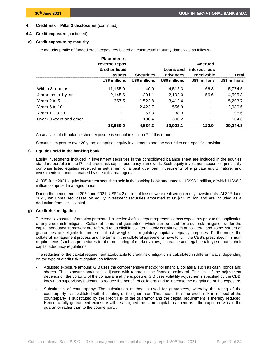# **4.4 Credit exposure** (continued)

# **e) Credit exposure by maturity**

The maturity profile of funded credit exposures based on contractual maturity dates was as follows:-

|                         | <b>Placements.</b><br>reverse repos |                   |                       | <b>Accrued</b>              |               |
|-------------------------|-------------------------------------|-------------------|-----------------------|-----------------------------|---------------|
|                         | & other liquid<br>assets            | <b>Securities</b> | Loans and<br>advances | interest-fees<br>receivable | Total         |
|                         | US\$ millions                       | US\$ millions     | US\$ millions         | US\$ millions               | US\$ millions |
| Within 3 months         | 11,155.9                            | 40.0              | 4.512.3               | 66.3                        | 15,774.5      |
| 4 months to 1 year      | 2.145.6                             | 291.1             | 2.102.0               | 56.6                        | 4.595.3       |
| Years 2 to 5            | 357.5                               | 1.523.8           | 3.412.4               | $\overline{\phantom{a}}$    | 5,293.7       |
| Years 6 to 10           |                                     | 2.423.7           | 556.9                 |                             | 2,980.6       |
| Years 11 to 20          |                                     | 57.3              | 38.3                  |                             | 95.6          |
| Over 20 years and other |                                     | 198.4             | 306.2                 |                             | 504.6         |
|                         | 13,659.0                            | 4.534.3           | 10.928.1              | 122.9                       | 29.244.3      |

An analysis of off-balance sheet exposure is set out in section 7 of this report.

Securities exposure over 20 years comprises equity investments and the securities non-specific provision.

# **f) Equities held in the banking book**

Equity investments included in investment securities in the consolidated balance sheet are included in the equities standard portfolio in the Pillar 1 credit risk capital adequacy framework. Such equity investment securities principally comprise listed equities received in settlement of a past due loan, investments of a private equity nature, and investments in funds managed by specialist managers.

At 30th June 2021, equity investment securities held in the banking book amounted to US\$98.1 million, of which US\$6.2 million comprised managed funds.

During the period ended 30<sup>th</sup> June 2021, US\$24.2 million of losses were realised on equity investments. At 30<sup>th</sup> June 2021, net unrealised losses on equity investment securities amounted to US\$7.3 million and are included as a deduction from tier 1 capital.

# **g) Credit risk mitigation**

The credit exposure information presented in section 4 of this report represents gross exposures prior to the application of any credit risk mitigants. Collateral items and guarantees which can be used for credit risk mitigation under the capital adequacy framework are referred to as eligible collateral. Only certain types of collateral and some issuers of guarantees are eligible for preferential risk weights for regulatory capital adequacy purposes. Furthermore, the collateral management process and the terms in the collateral agreements have to fulfil the CBB's prescribed minimum requirements (such as procedures for the monitoring of market values, insurance and legal certainty) set out in their capital adequacy regulations.

The reduction of the capital requirement attributable to credit risk mitigation is calculated in different ways, depending on the type of credit risk mitigation, as follows:-

- Adjusted exposure amount: GIB uses the comprehensive method for financial collateral such as cash, bonds and shares. The exposure amount is adjusted with regard to the financial collateral. The size of the adjustment depends on the volatility of the collateral and the exposure. GIB uses volatility adjustments specified by the CBB, known as supervisory haircuts, to reduce the benefit of collateral and to increase the magnitude of the exposure.
- Substitution of counterparty: The substitution method is used for guarantees, whereby the rating of the counterparty is substituted with the rating of the guarantor. This means that the credit risk in respect of the counterparty is substituted by the credit risk of the guarantor and the capital requirement is thereby reduced. Hence, a fully guaranteed exposure will be assigned the same capital treatment as if the exposure was to the guarantor rather than to the counterparty.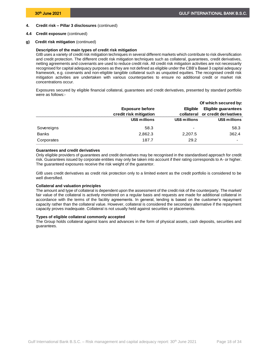# **4.4 Credit exposure** (continued)

**g) Credit risk mitigation** (continued)

### **Description of the main types of credit risk mitigation**

GIB uses a variety of credit risk mitigation techniques in several different markets which contribute to risk diversification and credit protection. The different credit risk mitigation techniques such as collateral, guarantees, credit derivatives, netting agreements and covenants are used to reduce credit risk. All credit risk mitigation activities are not necessarily recognised for capital adequacy purposes as they are not defined as eligible under the CBB's Basel 3 capital adequacy framework, e.g. covenants and non-eligible tangible collateral such as unquoted equities. The recognised credit risk mitigation activities are undertaken with various counterparties to ensure no additional credit or market risk concentrations occur.

Exposures secured by eligible financial collateral, guarantees and credit derivatives, presented by standard portfolio were as follows:-

|              |                        |                 | Of which secured by:       |
|--------------|------------------------|-----------------|----------------------------|
|              | <b>Exposure before</b> | <b>Eligible</b> | <b>Eligible guarantees</b> |
|              | credit risk mitigation | collateral      | or credit derivatives      |
|              | US\$ millions          | US\$ millions   | US\$ millions              |
| Sovereigns   | 58.3                   | -               | 58.3                       |
| <b>Banks</b> | 2,862.3                | 2,207.5         | 362.4                      |
| Corporates   | 187.7                  | 29.2            |                            |

### **Guarantees and credit derivatives**

Only eligible providers of guarantees and credit derivatives may be recognised in the standardised approach for credit risk. Guarantees issued by corporate entities may only be taken into account if their rating corresponds to A- or higher. The guaranteed exposures receive the risk weight of the guarantor.

GIB uses credit derivatives as credit risk protection only to a limited extent as the credit portfolio is considered to be well diversified.

#### **Collateral and valuation principles**

The amount and type of collateral is dependent upon the assessment of the credit risk of the counterparty. The market/ fair value of the collateral is actively monitored on a regular basis and requests are made for additional collateral in accordance with the terms of the facility agreements. In general, lending is based on the customer's repayment capacity rather than the collateral value. However, collateral is considered the secondary alternative if the repayment capacity proves inadequate. Collateral is not usually held against securities or placements.

#### **Types of eligible collateral commonly accepted**

The Group holds collateral against loans and advances in the form of physical assets, cash deposits, securities and guarantees.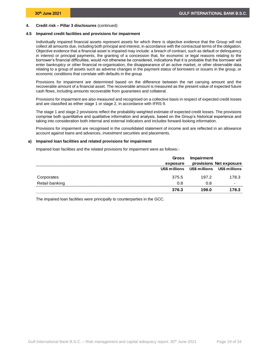# **4.5 Impaired credit facilities and provisions for impairment**

<span id="page-20-0"></span>Individually impaired financial assets represent assets for which there is objective evidence that the Group will not collect all amounts due, including both principal and interest, in accordance with the contractual terms of the obligation. Objective evidence that a financial asset is impaired may include: a breach of contract, such as default or delinquency in interest or principal payments, the granting of a concession that, for economic or legal reasons relating to the borrower's financial difficulties, would not otherwise be considered, indications that it is probable that the borrower will enter bankruptcy or other financial re-organisation, the disappearance of an active market, or other observable data relating to a group of assets such as adverse changes in the payment status of borrowers or issuers in the group, or economic conditions that correlate with defaults in the group.

Provisions for impairment are determined based on the difference between the net carrying amount and the recoverable amount of a financial asset. The recoverable amount is measured as the present value of expected future cash flows, including amounts recoverable from guarantees and collateral.

Provisions for impairment are also measured and recognised on a collective basis in respect of expected credit losses and are classified as either stage 1 or stage 2, in accordance with IFRS 9.

The stage 1 and stage 2 provisions reflect the probability-weighted estimate of expected credit losses. The provisions comprise both quantitative and qualitative information and analysis, based on the Group's historical experience and taking into consideration both internal and external indicators and includes forward-looking information.

Provisions for impairment are recognised in the consolidated statement of income and are reflected in an allowance account against loans and advances, investment securities and placements.

#### **a) Impaired loan facilities and related provisions for impairment**

Impaired loan facilities and the related provisions for impairment were as follows:-

|                | Gross<br>exposure | Impairment | provisions Net exposure                   |
|----------------|-------------------|------------|-------------------------------------------|
|                |                   |            | US\$ millions US\$ millions US\$ millions |
| Corporates     | 375.5             | 197.2      | 178.3                                     |
| Retail banking | 0.8               | 0.8        |                                           |
|                | 376.3             | 198.0      | 178.3                                     |

The impaired loan facilities were principally to counterparties in the GCC.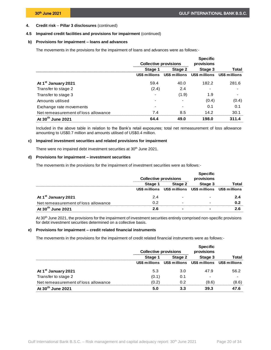# **4.5 Impaired credit facilities and provisions for impairment** (continued)

# **b) Provisions for impairment – loans and advances**

The movements in the provisions for the impairment of loans and advances were as follows:-

|                                     | <b>Collective provisions</b> |         | <b>Specific</b><br>provisions             |       |  |
|-------------------------------------|------------------------------|---------|-------------------------------------------|-------|--|
|                                     | Stage 1                      | Stage 2 | Stage 3                                   | Total |  |
|                                     | US\$ millions                |         | US\$ millions US\$ millions US\$ millions |       |  |
| At 1 <sup>st</sup> January 2021     | 59.4                         | 40.0    | 182.2                                     | 281.6 |  |
| Transfer to stage 2                 | (2.4)                        | 2.4     |                                           |       |  |
| Transfer to stage 3                 |                              | (1.9)   | 1.9                                       |       |  |
| Amounts utilised                    |                              |         | (0.4)                                     | (0.4) |  |
| Exchange rate movements             |                              |         | 0.1                                       | 0.1   |  |
| Net remeasurement of loss allowance | 7.4                          | 8.5     | 14.2                                      | 30.1  |  |
| At 30 <sup>th</sup> June 2021       | 64.4                         | 49.0    | 198.0                                     | 311.4 |  |

Included in the above table in relation to the Bank's retail exposures; total net remeasurement of loss allowance amounting to US\$0.7 million and amounts utilised of US\$0.4 million.

# **c) Impaired investment securities and related provisions for impairment**

There were no impaired debt investment securities at 30<sup>th</sup> June 2021.

# **d) Provisions for impairment – investment securities**

The movements in the provisions for the impairment of investment securities were as follows:-

|                                     | <b>Collective provisions</b> |                                                         | <b>Specific</b><br>provisions |       |
|-------------------------------------|------------------------------|---------------------------------------------------------|-------------------------------|-------|
|                                     | Stage 1                      | Stage 2                                                 | Stage 3                       | Total |
|                                     |                              | US\$ millions US\$ millions US\$ millions US\$ millions |                               |       |
| At 1 <sup>st</sup> January 2021     | 24                           |                                                         |                               |       |
| Net remeasurement of loss allowance | በ 2                          |                                                         |                               | 0.2   |
| At 30 <sup>th</sup> June 2021       |                              |                                                         |                               |       |

At 30th June 2021, the provisions for the impairment of investment securities entirely comprised non-specific provisions for debt investment securities determined on a collective basis.

# **e) Provisions for impairment – credit related financial instruments**

The movements in the provisions for the impairment of credit related financial instruments were as follows:-

|                                     | <b>Collective provisions</b> |         | <b>Specific</b><br>provisions                           |       |
|-------------------------------------|------------------------------|---------|---------------------------------------------------------|-------|
|                                     | Stage 1                      | Stage 2 | Stage 3                                                 | Total |
|                                     |                              |         | US\$ millions US\$ millions US\$ millions US\$ millions |       |
| At 1 <sup>st</sup> January 2021     | 5.3                          | 3.0     | 47.9                                                    | 56.2  |
| Transfer to stage 2                 | (0.1)                        | 0.1     | -                                                       |       |
| Net remeasurement of loss allowance | (0.2)                        | 0.2     | (8.6)                                                   | (8.6) |
| At 30 <sup>th</sup> June 2021       | 5.0                          | 3.3     | 39.3                                                    | 47.6  |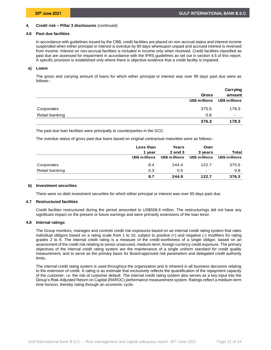### **4.6 Past due facilities**

<span id="page-22-0"></span>In accordance with guidelines issued by the CBB, credit facilities are placed on non-accrual status and interest income suspended when either principal or interest is overdue by 90 days whereupon unpaid and accrued interest is reversed from income. Interest on non-accrual facilities is included in income only when received. Credit facilities classified as past due are assessed for impairment in accordance with the IFRS guidelines as set out in section 4.5 of this report. A specific provision is established only where there is objective evidence that a credit facility is impaired.

### **a) Loans**

The gross and carrying amount of loans for which either principal or interest was over 90 days past due were as follows:-

|                | Gross         | Carrying<br>amount |
|----------------|---------------|--------------------|
|                | US\$ millions | US\$ millions      |
| Corporates     | 375.5         | 178.3              |
| Retail banking | 0.8           |                    |
|                | 376.3         | 178 3              |

The past due loan facilities were principally to counterparties in the GCC.

The overdue status of gross past due loans based on original contractual maturities were as follows:-

|                | Less than<br>vear | Years<br><b>2 and 3</b> | Over<br>3 years          | Total         |
|----------------|-------------------|-------------------------|--------------------------|---------------|
|                | US\$ millions     | US\$ millions           | US\$ millions            | US\$ millions |
| Corporates     | 8.4               | 2444                    | 122.7                    | 375.5         |
| Retail banking | 0.3               | 0.5                     | $\overline{\phantom{0}}$ | 0.8           |
|                |                   | 244.9                   | 1997                     | 376.3         |

#### **b) Investment securities**

<span id="page-22-1"></span>There were no debt investment securities for which either principal or interest was over 90 days past due.

#### **4.7 Restructured facilities**

<span id="page-22-2"></span>Credit facilties restructured during the period amounted to US\$508.6 million. The restructurings did not have any significant impact on the present or future earnings and were primarily extensions of the loan tenor.

### **4.8 Internal ratings**

The Group monitors, manages and controls credit risk exposures based on an internal credit rating system that rates individual obligors based on a rating scale from 1 to 10, subject to positive (+) and negative (-) modifiers for rating grades 2 to 6. The internal credit rating is a measure of the credit-worthiness of a single obligor, based on an assessment of the credit risk relating to senior unsecured, medium-term, foreign currency credit exposure. The primary objectives of the internal credit rating system are the maintenance of a single uniform standard for credit quality measurement, and to serve as the primary basis for Board-approved risk parameters and delegated credit authority limits.

The internal credit rating system is used throughout the organisation and is inherent in all business decisions relating to the extension of credit. A rating is an estimate that exclusively reflects the quantification of the repayment capacity of the customer, i.e. the risk of customer default. The internal credit rating system also serves as a key input into the Group's Risk-Adjusted Return on Capital (RAROC) performance measurement system. Ratings reflect a medium-term time horizon, thereby rating through an economic cycle.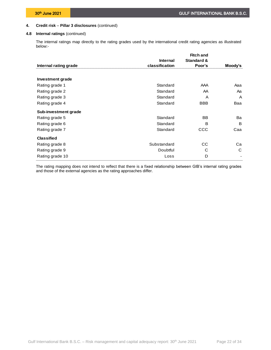# **4.8 Internal ratings** (continued)

The internal ratings map directly to the rating grades used by the international credit rating agencies as illustrated below:-

|                       |                 | <b>Fitch and</b>      |         |
|-----------------------|-----------------|-----------------------|---------|
|                       | <b>Internal</b> | <b>Standard &amp;</b> |         |
| Internal rating grade | classification  | Poor's                | Moody's |
|                       |                 |                       |         |
| Investment grade      |                 |                       |         |
| Rating grade 1        | Standard        | AAA                   | Aaa     |
| Rating grade 2        | Standard        | AA                    | Aa      |
| Rating grade 3        | Standard        | A                     | A       |
| Rating grade 4        | Standard        | <b>BBB</b>            | Baa     |
| Sub-investment grade  |                 |                       |         |
| Rating grade 5        | Standard        | <b>BB</b>             | Ba      |
| Rating grade 6        | Standard        | B                     | B       |
| Rating grade 7        | Standard        | ccc                   | Caa     |
| <b>Classified</b>     |                 |                       |         |
| Rating grade 8        | Substandard     | CC.                   | Ca      |
| Rating grade 9        | Doubtful        | C                     | C       |
| Rating grade 10       | Loss            | D                     |         |

The rating mapping does not intend to reflect that there is a fixed relationship between GIB's internal rating grades and those of the external agencies as the rating approaches differ.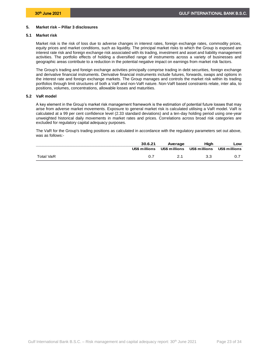# <span id="page-24-0"></span>**5. Market risk – Pillar 3 disclosures**

# **5.1 Market risk**

<span id="page-24-1"></span>Market risk is the risk of loss due to adverse changes in interest rates, foreign exchange rates, commodity prices, equity prices and market conditions, such as liquidity. The principal market risks to which the Group is exposed are interest rate risk and foreign exchange risk associated with its trading, investment and asset and liability management activities. The portfolio effects of holding a diversified range of instruments across a variety of businesses and geographic areas contribute to a reduction in the potential negative impact on earnings from market risk factors.

The Group's trading and foreign exchange activities principally comprise trading in debt securities, foreign exchange and derivative financial instruments. Derivative financial instruments include futures, forwards, swaps and options in the interest rate and foreign exchange markets. The Group manages and controls the market risk within its trading portfolios through limit structures of both a VaR and non-VaR nature. Non-VaR based constraints relate, inter alia, to positions, volumes, concentrations, allowable losses and maturities.

# **5.2 VaR model**

<span id="page-24-2"></span>A key element in the Group's market risk management framework is the estimation of potential future losses that may arise from adverse market movements. Exposure to general market risk is calculated utilising a VaR model. VaR is calculated at a 99 per cent confidence level (2.33 standard deviations) and a ten-day holding period using one-year unweighted historical daily movements in market rates and prices. Correlations across broad risk categories are excluded for regulatory capital adequacy purposes.

The VaR for the Group's trading positions as calculated in accordance with the regulatory parameters set out above, was as follows:-

|           |               | Average |                                           | .ow |
|-----------|---------------|---------|-------------------------------------------|-----|
|           | US\$ millions |         | US\$ millions US\$ millions US\$ millions |     |
| Total VaR |               |         |                                           |     |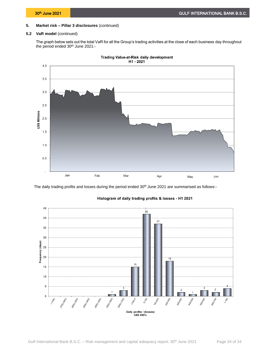# **5.2 VaR model** (continued)

The graph below sets out the total VaR for all the Group's trading activities at the close of each business day throughout the period ended 30<sup>th</sup> June 2021:-





The daily trading profits and losses during the period ended 30<sup>th</sup> June 2021 are summarised as follows:-



# Histogram of daily trading profits & losses - H1 2021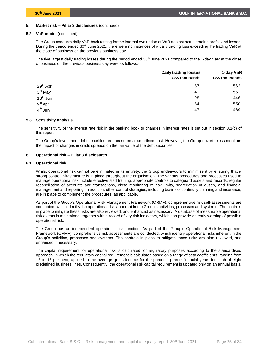## **5.2 VaR model** (continued)

The Group conducts daily VaR back testing for the internal evaluation of VaR against actual trading profits and losses. During the period ended 30<sup>th</sup> June 2021, there were no instances of a daily trading loss exceeding the trading VaR at the close of business on the previous business day.

The five largest daily trading losses during the period ended 30<sup>th</sup> June 2021 compared to the 1-day VaR at the close of business on the previous business day were as follows:-

|                                                                     | Daily trading losses  | 1-day VaR             |
|---------------------------------------------------------------------|-----------------------|-----------------------|
|                                                                     | <b>US\$ thousands</b> | <b>US\$ thousands</b> |
|                                                                     | 167                   | 562                   |
| 29 <sup>th</sup> Apr<br>3 <sup>rd</sup> May<br>18 <sup>th</sup> Jun | 141                   | 551                   |
|                                                                     | 98                    | 446                   |
| 9 <sup>th</sup> Apr<br>4 <sup>th</sup> Jun                          | 54                    | 550                   |
|                                                                     | 47                    | 469                   |

### **5.3 Sensitivity analysis**

<span id="page-26-0"></span>The sensitivity of the interest rate risk in the banking book to changes in interest rates is set out in section 8.1(c) of this report.

The Group's investment debt securities are measured at amortised cost. However, the Group nevertheless monitors the impact of changes in credit spreads on the fair value of the debt securities.

# <span id="page-26-1"></span>**6. Operational risk – Pillar 3 disclosures**

### **6.1 Operational risk**

<span id="page-26-2"></span>Whilst operational risk cannot be eliminated in its entirety, the Group endeavours to minimise it by ensuring that a strong control infrastructure is in place throughout the organisation. The various procedures and processes used to manage operational risk include effective staff training, appropriate controls to safeguard assets and records, regular reconciliation of accounts and transactions, close monitoring of risk limits, segregation of duties, and financial management and reporting. In addition, other control strategies, including business continuity planning and insurance, are in place to complement the procedures, as applicable.

As part of the Group's Operational Risk Management Framework (ORMF), comprehensive risk self-assessments are conducted, which identify the operational risks inherent in the Group's activities, processes and systems. The controls in place to mitigate these risks are also reviewed, and enhanced as necessary. A database of measurable operational risk events is maintained, together with a record of key risk indicators, which can provide an early warning of possible operational risk.

The Group has an independent operational risk function. As part of the Group's Operational Risk Management Framework (ORMF), comprehensive risk assessments are conducted, which identify operational risks inherent in the Group's activities, processes and systems. The controls in place to mitigate these risks are also reviewed, and enhanced if necessary.

The capital requirement for operational risk is calculated for regulatory purposes according to the standardised approach, in which the regulatory capital requirement is calculated based on a range of beta coefficients, ranging from 12 to 18 per cent, applied to the average gross income for the preceding three financial years for each of eight predefined business lines. Consequently, the operational risk capital requirement is updated only on an annual basis.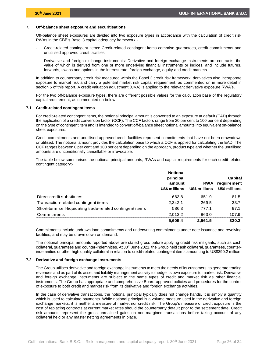# <span id="page-27-0"></span>**7. Off-balance sheet exposure and securitisations**

Off-balance sheet exposures are divided into two exposure types in accordance with the calculation of credit risk RWAs in the CBB's Basel 3 capital adequacy framework:-

- Credit-related contingent items: Credit-related contingent items comprise guarantees, credit commitments and unutilised approved credit facilities
- Derivative and foreign exchange instruments: Derivative and foreign exchange instruments are contracts, the value of which is derived from one or more underlying financial instruments or indices, and include futures, forwards, swaps and options in the interest rate, foreign exchange, equity and credit markets

In addition to counterparty credit risk measured within the Basel 3 credit risk framework, derivatives also incorporate exposure to market risk and carry a potential market risk capital requirement, as commented on in more detail in section 5 of this report. A credit valuation adjustment (CVA) is applied to the relevant derivative exposure RWA's.

For the two off-balance exposure types, there are different possible values for the calculation base of the regulatory capital requirement, as commented on below:-

### **7.1 Credit-related contingent items**

<span id="page-27-1"></span>For credit-related contingent items, the notional principal amount is converted to an exposure at default (EAD) through the application of a credit conversion factor (CCF). The CCF factors range from 20 per cent to 100 per cent depending on the type of contingent item and is intended to convert off-balance sheet notional amounts into equivalent on-balance sheet exposures.

Credit commitments and unutilised approved credit facilities represent commitments that have not been drawndown or utilised. The notional amount provides the calculation base to which a CCF is applied for calculating the EAD. The CCF ranges between 0 per cent and 100 per cent depending on the approach, product type and whether the unutilised amounts are unconditionally cancellable or irrevocable.

The table below summarises the notional principal amounts, RWAs and capital requirements for each credit-related contingent category:-

|                                                            | <b>Notional</b> |               |               |
|------------------------------------------------------------|-----------------|---------------|---------------|
|                                                            | principal       |               | Capital       |
|                                                            | amount          | <b>RWA</b>    | requirement   |
|                                                            | US\$ millions   | US\$ millions | US\$ millions |
| Direct credit substitutes                                  | 663.8           | 651.9         | 81.5          |
| Transaction-related contingent items                       | 2.342.1         | 269.5         | 33.7          |
| Short-term self-liquidating trade-related contingent items | 586.3           | 777.1         | 97.1          |
| Commitments                                                | 2.013.2         | 863.0         | 107.9         |
|                                                            | 5,605.4         | 2.561.5       | 320.2         |

Commitments include undrawn loan commitments and underwriting commitments under note issuance and revolving facilities, and may be drawn down on demand.

The notional principal amounts reported above are stated gross before applying credit risk mitigants, such as cash collateral, guarantees and counter-indemnities. At 30<sup>th</sup> June 2021, the Group held cash collateral, guarantees, counterindemnities or other high quality collateral in relation to credit-related contingent items amounting to US\$390.2 million.

### **7.2 Derivative and foreign exchange instruments**

<span id="page-27-2"></span>The Group utilises derivative and foreign exchange instruments to meet the needs of its customers, to generate trading revenues and as part of its asset and liability management activity to hedge its own exposure to market risk. Derivative and foreign exchange instruments are subject to the same types of credit and market risk as other financial instruments. The Group has appropriate and comprehensive Board-approved policies and procedures for the control of exposure to both credit and market risk from its derivative and foreign exchange activities.

In the case of derivative transactions, the notional principal typically does not change hands. It is simply a quantity which is used to calculate payments. While notional principal is a volume measure used in the derivative and foreign exchange markets, it is neither a measure of market nor credit risk. The Group's measure of credit exposure is the cost of replacing contracts at current market rates should the counterparty default prior to the settlement date. Credit risk amounts represent the gross unrealised gains on non-margined transactions before taking account of any collateral held or any master netting agreements in place.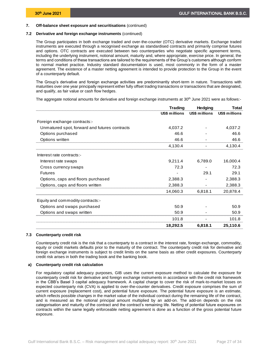# **7. Off-balance sheet exposure and securitisations** (continued)

### **7.2 Derivative and foreign exchange instruments** (continued)

The Group participates in both exchange traded and over-the-counter (OTC) derivative markets. Exchange traded instruments are executed through a recognised exchange as standardised contracts and primarily comprise futures and options. OTC contracts are executed between two counterparties who negotiate specific agreement terms, including the underlying instrument, notional amount, maturity and, where appropriate, exercise price. In general, the terms and conditions of these transactions are tailored to the requirements of the Group's customers although conform to normal market practice. Industry standard documentation is used, most commonly in the form of a master agreement. The existence of a master netting agreement is intended to provide protection to the Group in the event of a counterparty default.

The Group's derivative and foreign exchange activities are predominantly short-term in nature. Transactions with maturities over one year principally represent either fully offset trading transactions or transactions that are designated, and qualify, as fair value or cash flow hedges.

The aggregate notional amounts for derivative and foreign exchange instruments at 30<sup>th</sup> June 2021 were as follows:-

|                                               | <b>Trading</b> | <b>Hedging</b> | Total         |
|-----------------------------------------------|----------------|----------------|---------------|
|                                               | US\$ millions  | US\$ millions  | US\$ millions |
| Foreign exchange contracts:-                  |                |                |               |
| Unmatured spot, forward and futures contracts | 4,037.2        |                | 4,037.2       |
| Options purchased                             | 46.6           |                | 46.6          |
| Options written                               | 46.6           |                | 46.6          |
|                                               | 4,130.4        |                | 4,130.4       |
| Interest rate contracts:-                     |                |                |               |
| Interest rate swaps                           | 9,211.4        | 6,789.0        | 16,000.4      |
| Cross currency swaps                          | 72.3           |                | 72.3          |
| <b>Futures</b>                                |                | 29.1           | 29.1          |
| Options, caps and floors purchased            | 2,388.3        |                | 2,388.3       |
| Options, caps and floors written              | 2,388.3        |                | 2,388.3       |
|                                               | 14,060.3       | 6.818.1        | 20,878.4      |
| Equity and commodity contracts:-              |                |                |               |
| Options and swaps purchased                   | 50.9           |                | 50.9          |
| Options and swaps written                     | 50.9           |                | 50.9          |
|                                               | 101.8          |                | 101.8         |
|                                               | 18,292.5       | 6.818.1        | 25,110.6      |

#### **7.3 Counterparty credit risk**

<span id="page-28-0"></span>Counterparty credit risk is the risk that a counterparty to a contract in the interest rate, foreign exchange, commodity, equity or credit markets defaults prior to the maturity of the contract. The counterparty credit risk for derivative and foreign exchange instruments is subject to credit limits on the same basis as other credit exposures. Counterparty credit risk arises in both the trading book and the banking book.

# **a) Counterparty credit risk calculation**

For regulatory capital adequacy purposes, GIB uses the current exposure method to calculate the exposure for counterparty credit risk for derivative and foreign exchange instruments in accordance with the credit risk framework in the CBB's Basel 3 capital adequacy framework. A capital charge to cover the risk of mark-to-market losses on expected counterparty risk (CVA) is applied to over-the-counter derivatives. Credit exposure comprises the sum of current exposure (replacement cost), and potential future exposure. The potential future exposure is an estimate, which reflects possible changes in the market value of the individual contract during the remaining life of the contract, and is measured as the notional principal amount multiplied by an add-on. The add-on depends on the risk categorisation and maturity of the contract and the contract's remaining life. Netting of potential future exposures on contracts within the same legally enforceable netting agreement is done as a function of the gross potential future exposure.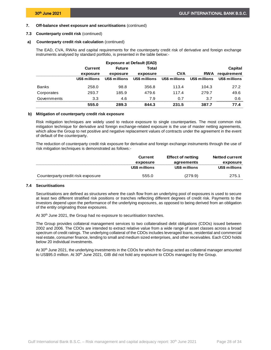# **7. Off-balance sheet exposure and securitisations** (continued)

# **7.3 Counterparty credit risk** (continued)

## **a) Counterparty credit risk calculation** (continued)

The EAD, CVA, RWAs and capital requirements for the counterparty credit risk of derivative and foreign exchange instruments analysed by standard portfolio, is presented in the table below:-

| <b>Exposure at Default (EAD)</b> |                |               |               |               |               |               |
|----------------------------------|----------------|---------------|---------------|---------------|---------------|---------------|
|                                  | <b>Current</b> | <b>Future</b> | Total         |               |               | Capital       |
|                                  | exposure       | exposure      | exposure      | <b>CVA</b>    | <b>RWA</b>    | requirement   |
|                                  | US\$ millions  | US\$ millions | US\$ millions | US\$ millions | US\$ millions | US\$ millions |
| <b>Banks</b>                     | 258.0          | 98.8          | 356.8         | 113.4         | 104.3         | 27.2          |
| Corporates                       | 293.7          | 185.9         | 479.6         | 117.4         | 279.7         | 49.6          |
| Governments                      | 3.3            | 4.6           | 7.9           | 0.7           | 3.7           | 0.6           |
|                                  | 555.0          | 289.3         | 844.3         | 231.5         | 387.7         | 77.4          |

# **b) Mitigation of counterparty credit risk exposure**

Risk mitigation techniques are widely used to reduce exposure to single counterparties. The most common risk mitigation technique for derivative and foreign exchange-related exposure is the use of master netting agreements, which allow the Group to net positive and negative replacement values of contracts under the agreement in the event of default of the counterparty.

The reduction of counterparty credit risk exposure for derivative and foreign exchange instruments through the use of risk mitigation techniques is demonstrated as follows:-

|                                   | <b>Current</b> | <b>Effect of netting</b> | <b>Netted current</b> |
|-----------------------------------|----------------|--------------------------|-----------------------|
|                                   | exposure       | agreements               | exposure              |
|                                   | US\$ millions  | US\$ millions            | US\$ millions         |
| Counterparty credit risk exposure | 555.0          | (279.9)                  | 275.1                 |

# **7.4 Securitisations**

<span id="page-29-0"></span>Securitisations are defined as structures where the cash flow from an underlying pool of exposures is used to secure at least two different stratified risk positions or tranches reflecting different degrees of credit risk. Payments to the investors depend upon the performance of the underlying exposures, as opposed to being derived from an obligation of the entity originating those exposures.

At 30<sup>th</sup> June 2021, the Group had no exposure to securitisation tranches.

The Group provides collateral management services to two collateralised debt obligations (CDOs) issued between 2002 and 2006. The CDOs are intended to extract relative value from a wide range of asset classes across a broad spectrum of credit ratings. The underlying collateral of the CDOs includes leveraged loans, residential and commercial real estate, consumer finance, lending to small and medium sized enterprises, and other receivables. Each CDO holds below 20 individual investments.

At 30<sup>th</sup> June 2021, the underlying investments in the CDOs for which the Group acted as collateral manager amounted to US\$95.0 million. At 30<sup>th</sup> June 2021, GIB did not hold any exposure to CDOs managed by the Group.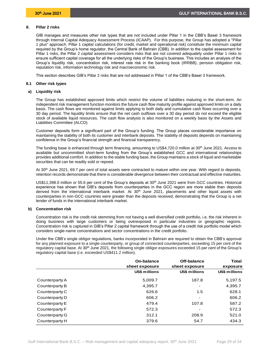# <span id="page-30-0"></span>**8. Pillar 2 risks**

GIB manages and measures other risk types that are not included under Pillar 1 in the CBB's Basel 3 framework through Internal Capital Adequacy Assessment Process (ICAAP). For this purpose, the Group has adopted a "Pillar 1 plus" approach. Pillar 1 capital calculations (for credit, market and operational risk) constitute the minimum capital required by the Group's home regulator, the Central Bank of Bahrain (CBB). In addition to the capital assessment for Pillar 1 risks, the Pillar 2 capital assessment considers risks that are not covered adequately under Pillar 1 risks to ensure sufficient capital coverage for all the underlying risks of the Group's business. This includes an analysis of the Group's liquidity risk, concentration risk, interest rate risk in the banking book (IRRBB), pension obligation risk, reputation risk, information technology risk and macroeconomic risk.

<span id="page-30-1"></span>This section describes GIB's Pillar 2 risks that are not addressed in Pillar 1 of the CBB's Basel 3 framework.

### **8.1 Other risk types**

# **a) Liquidity risk**

The Group has established approved limits which restrict the volume of liabilities maturing in the short-term. An independent risk management function monitors the future cash flow maturity profile against approved limits on a daily basis. The cash flows are monitored against limits applying to both daily and cumulative cash flows occurring over a 30 day period. The liquidity limits ensure that the net cash outflows over a 30 day period do not exceed the eligible stock of available liquid resources. The cash flow analysis is also monitored on a weekly basis by the Assets and Liabilities Committee (ALCO).

Customer deposits form a significant part of the Group's funding. The Group places considerable importance on maintaining the stability of both its customer and interbank deposits. The stability of deposits depends on maintaining confidence in the Group's financial strength and financial transparency.

The funding base is enhanced through term financing, amounting to US\$4,720.0 million at 30<sup>th</sup> June 2021. Access to available but uncommitted short-term funding from the Group's established GCC and international relationships provides additional comfort. In addition to the stable funding base, the Group maintains a stock of liquid and marketable securities that can be readily sold or repoed.

At 30<sup>th</sup> June 2021, 69.7 per cent of total assets were contracted to mature within one year. With regard to deposits, retention records demonstrate that there is considerable divergence between their contractual and effective maturities.

US\$11,398.0 million or 55.6 per cent of the Group's deposits at 30<sup>th</sup> June 2021 were from GCC countries. Historical experience has shown that GIB's deposits from counterparties in the GCC region are more stable than deposits derived from the international interbank market. At 30<sup>th</sup> June 2021, placements and other liquid assets with counterparties in non-GCC countries were greater than the deposits received, demonstrating that the Group is a net lender of funds in the international interbank market.

# **b) Concentration risk**

Concentration risk is the credit risk stemming from not having a well diversified credit portfolio, i.e. the risk inherent in doing business with large customers or being overexposed in particular industries or geographic regions. Concentration risk is captured in GIB's Pillar 2 capital framework through the use of a credit risk portfolio model which considers single-name concentrations and sector concentrations in the credit portfolio.

Under the CBB's single obligor regulations, banks incorporated in Bahrain are required to obtain the CBB's approval for any planned exposure to a single counterparty, or group of connected counterparties, exceeding 15 per cent of the regulatory capital base. At 30<sup>th</sup> June 2021, the following single obligor exposures exceeded 15 per cent of the Group's regulatory capital base (i.e. exceeded US\$411.2 million).

|                | On-balance<br>sheet exposure | Off-balance<br>sheet exposure | Total<br>exposure |
|----------------|------------------------------|-------------------------------|-------------------|
|                | US\$ millions                | US\$ millions                 | US\$ millions     |
| Counterparty A | 5,009.7                      | 187.8                         | 5,197.5           |
| Counterparty B | 4.395.7                      |                               | 4,395.7           |
| Counterparty C | 626.6                        | 1.5                           | 628.1             |
| Counterparty D | 606.2                        |                               | 606.2             |
| Counterparty E | 479.4                        | 107.8                         | 587.2             |
| Counterparty F | 572.3                        |                               | 572.3             |
| Counterparty G | 312.1                        | 208.9                         | 521.0             |
| Counterparty H | 379.6                        | 54.7                          | 434.3             |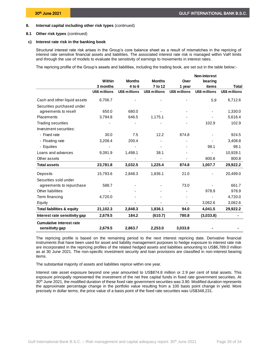# **8. Internal capital including other risk types** (continued)

# **8.1 Other risk types** (continued)

### **c) Interest rate risk in the banking book**

Structural interest rate risk arises in the Group's core balance sheet as a result of mismatches in the repricing of interest rate sensitive financial assets and liabilities. The associated interest rate risk is managed within VaR limits and through the use of models to evaluate the sensitivity of earnings to movements in interest rates.

The repricing profile of the Group's assets and liabilities, including the trading book, are set out in the table below:-

|                                       |                      |                      |                      |               | <b>Non-interest</b> |                      |
|---------------------------------------|----------------------|----------------------|----------------------|---------------|---------------------|----------------------|
|                                       | Within               | <b>Months</b>        | <b>Months</b>        | Over          | bearing             |                      |
|                                       | 3 months             | 4 to 6               | 7 to 12              | 1 year        | items               | <b>Total</b>         |
|                                       | <b>US\$ millions</b> | <b>US\$ millions</b> | <b>US\$ millions</b> | US\$ millions | US\$ millions       | <b>US\$ millions</b> |
| Cash and other liquid assets          | 6,706.7              |                      |                      |               | 5.9                 | 6,712.6              |
| Securities purchased under            |                      |                      |                      |               |                     |                      |
| agreements to resell                  | 650.0                | 680.0                |                      |               |                     | 1,330.0              |
| Placements                            | 3,794.8              | 646.5                | 1,175.1              |               |                     | 5,616.4              |
| <b>Trading securities</b>             |                      |                      |                      |               | 102.9               | 102.9                |
| Investment securities:                |                      |                      |                      |               |                     |                      |
| - Fixed rate                          | 30.0                 | 7.5                  | 12.2                 | 874.8         |                     | 924.5                |
| - Floating rate                       | 3,208.4              | 200.4                |                      |               |                     | 3,408.8              |
| - Equities                            |                      |                      |                      |               | 98.1                | 98.1                 |
| Loans and advances                    | 9,391.9              | 1,498.1              | 38.1                 |               |                     | 10,928.1             |
| Other assets                          |                      |                      |                      |               | 800.8               | 800.8                |
| <b>Total assets</b>                   | 23,781.8             | 3,032.5              | 1,225.4              | 874.8         | 1,007.7             | 29,922.2             |
| Deposits                              | 15,793.6             | 2,848.3              | 1,836.1              | 21.0          |                     | 20,499.0             |
| Securities sold under                 |                      |                      |                      |               |                     |                      |
| agreements to repurchase              | 588.7                |                      |                      | 73.0          |                     | 661.7                |
| Other liabilities                     |                      |                      |                      |               | 978.9               | 978.9                |
| Term financing                        | 4,720.0              |                      |                      |               |                     | 4,720.0              |
| Equity                                |                      |                      |                      |               | 3,062.6             | 3,062.6              |
| <b>Total liabilities &amp; equity</b> | 21,102.3             | 2,848.3              | 1,836.1              | 94.0          | 4,041.5             | 29,922.2             |
| Interest rate sensitivity gap         | 2,679.5              | 184.2                | (610.7)              | 780.8         | (3,033.8)           |                      |
| <b>Cumulative interest rate</b>       |                      |                      |                      |               |                     |                      |
| sensitivity gap                       | 2,679.5              | 2,863.7              | 2,253.0              | 3,033.8       |                     |                      |

The repricing profile is based on the remaining period to the next interest repricing date. Derivative financial instruments that have been used for asset and liability management purposes to hedge exposure to interest rate risk are incorporated in the repricing profiles of the related hedged assets and liabilities amounting to US\$6,789.0 million as at 30 June 2021. The non-specific investment security and loan provisions are classified in non-interest bearing items.

The substantial majority of assets and liabilities reprice within one year.

Interest rate asset exposure beyond one year amounted to US\$874.8 million or 2.9 per cent of total assets. This exposure principally represented the investment of the net free capital funds in fixed rate government securities. At 30<sup>th</sup> June 2021, the modified duration of these fixed rate government securities was 3.90. Modified duration represents the approximate percentage change in the portfolio value resulting from a 100 basis point change in yield. More precisely in dollar terms, the price value of a basis point of the fixed rate securities was US\$348,231.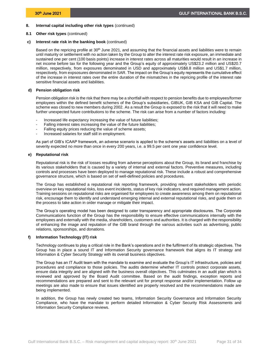# **8. Internal capital including other risk types** (continued)

# **8.1 Other risk types** (continued)

# **c) Interest rate risk in the banking book** (continued)

Based on the repricing profile at 30<sup>th</sup> June 2021, and assuming that the financial assets and liabilities were to remain until maturity or settlement with no action taken by the Group to alter the interest rate risk exposure, an immediate and sustained one per cent (100 basis points) increase in interest rates across all maturities would result in an increase in net income before tax for the following year and the Group's equity of approximately US\$23.2 million and US\$20.7 million, respectively, from exposures denominated in USD and approximately US\$8.8 million and US\$1.7 million, respectively, from expsosures denominated in SAR. The impact on the Group's equity represents the cumulative effect of the increase in interest rates over the entire duration of the mismatches in the repricing profile of the interest rate sensitive financial assets and liabilities.

# **d) Pension obligation risk**

Pension obligation risk is the risk that there may be a shortfall with respect to pension benefits due to employees/former employees within the defined benefit schemes of the Group's subsidiaries, GIBUK, GIB KSA and GIB Capital. The scheme was closed to new members during 2002. As a result the Group is exposed to the risk that it will need to make further unexpected future contributions to the scheme. The risk can arise from a number of factors including:

- Increased life expectancy increasing the value of future liabilities;
- Falling interest rates increasing the value of the future liabilities;
- Falling equity prices reducing the value of scheme assets;
- Increased salaries for staff still in employment.

As part of GIB's ICAAP framework, an adverse scenario is applied to the scheme's assets and liabilities on a level of severity expected no more than once in every 200 years, i.e. a 99.5 per cent one year confidence level.

# **e) Reputational risk**

Reputational risk is the risk of losses resulting from adverse perceptions about the Group, its brand and franchise by its various stakeholders that is caused by a variety of internal and external factors. Preventive measures, including controls and processes have been deployed to manage reputational risk. These include a robust and comprehensive governance structure, which is based on set of well-defined policies and procedures.

The Group has established a reputational risk reporting framework, providing relevant stakeholders with periodic overview on key reputational risks, loss event incidents, status of key risk indicators, and required management action. Training sessions on reputational risks are organised for employees to create awareness among them on reputational risk, encourage them to identify and understand emerging internal and external reputational risks, and guide them on the process to take action in order manage or mitigate their impact.

The Group's operating model has been designed to cater transparency and appropriate disclosures. The Corporate Communications function of the Group has the responsibility to ensure effective communications internally with the employees and externally with the media, shareholders, customers and authorities. It is charged with the responsibility of enhancing the image and reputation of the GIB brand through the various activities such as advertising, public relations, sponsorships, and donations.

# **f) Information Technology (IT) risk**

Technology continues to play a critical role in the Bank's operations and in the fulfilment of its strategic objectives. The Group has in place a sound IT and Information Security governance framework that aligns its IT strategy and Information & Cyber Security Strategy with its overall business objectives.

The Group has an IT Audit team with the mandate to examine and evaluate the Group's IT infrastructure, policies and procedures and compliance to those policies. The audits determine whether IT controls protect corporate assets, ensure data integrity and are aligned with the business overall objectives. This culminates in an audit plan which is reviewed and approved by the Board Audit committee. Based on the audit findings, exception reports and recommendations are prepared and sent to the relevant unit for prompt response and/or implementation. Follow up meetings are also made to ensure that issues identified are properly resolved and the recommendations made are being implemented.

In addition, the Group has newly created two teams, Information Security Governance and Information Security Compliance, who have the mandate to perform detailed Information & Cyber Security Risk Assessments and Information Security Compliance reviews.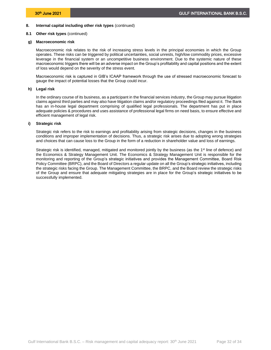# **8. Internal capital including other risk types** (continued)

# **8.1 Other risk types** (continued)

## **g) Macroeconomic risk**

Macroeconomic risk relates to the risk of increasing stress levels in the principal economies in which the Group operates. These risks can be triggered by political uncertainties, social unrests, high/low commodity prices, excessive leverage in the financial system or an uncompetitive business environment. Due to the systemic nature of these macroeconomic triggers there will be an adverse impact on the Group's profitability and capital positions and the extent of loss would depend on the severity of the stress event.

Macroeconomic risk is captured in GIB's ICAAP framework through the use of stressed macroeconomic forecast to gauge the impact of potential losses that the Group could incur.

# **h) Legal risk**

In the ordinary course of its business, as a participant in the financial services industry, the Group may pursue litigation claims against third parties and may also have litigation claims and/or regulatory proceedings filed against it. The Bank has an in-house legal department comprising of qualified legal professionals. The department has put in place adequate policies & procedures and uses assistance of professional legal firms on need basis, to ensure effective and efficient management of legal risk.

# **i) Strategic risk**

Strategic risk refers to the risk to earnings and profitability arising from strategic decisions, changes in the business conditions and improper implementation of decisions. Thus, a strategic risk arises due to adopting wrong strategies and choices that can cause loss to the Group in the form of a reduction in shareholder value and loss of earnings.

Strategic risk is identified, managed, mitigated and monitored jointly by the business (as the 1<sup>st</sup> line of defence) and the Economics & Strategy Management Unit. The Economics & Strategy Management Unit is responsible for the monitoring and reporting of the Group's strategic initiatives and provides the Management Committee, Board Risk Policy Committee (BRPC), and the Board of Directors a regular update on all the Group's strategic initiatives, including the strategic risks facing the Group. The Management Committee, the BRPC, and the Board review the strategic risks of the Group and ensure that adequate mitigating strategies are in place for the Group's strategic initiatives to be successfully implemented.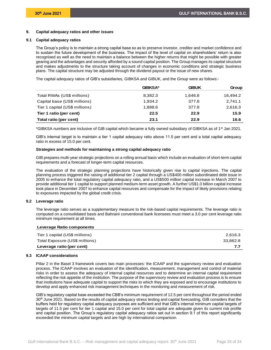# <span id="page-34-0"></span>**9. Capital adequacy ratios and other issues**

#### **9.1 Capital adequacy ratios**

<span id="page-34-1"></span>The Group's policy is to maintain a strong capital base so as to preserve investor, creditor and market confidence and to sustain the future development of the business. The impact of the level of capital on shareholders' return is also recognised as well as the need to maintain a balance between the higher returns that might be possible with greater gearing and the advantages and security afforded by a sound capital position. The Group manages its capital structure and makes adjustments to the structure taking account of changes in economic conditions and strategic business plans. The capital structure may be adjusted through the dividend payout or the issue of new shares.

The capital adequacy ratios of GIB's subsidiaries, GIBKSA and GIBUK, and the Group were as follows:-

|                                | <b>GIRKSA*</b> | GIRI IK | Group    |
|--------------------------------|----------------|---------|----------|
| Total RWAs (US\$ millions)     | 8.382.3        | 1.646.8 | 16.494.2 |
| Capital base (US\$ millions)   | 1.934.2        | 377.8   | 2.741.1  |
| Tier 1 capital (US\$ millions) | 1.888.6        | 377.8   | 2.616.3  |
| Tier 1 ratio (per cent)        | 22.5           | 22.9    | 15.9     |
| Total ratio (per cent)         | 23.1           | 22.9    | 16.6     |

\*GIBKSA numbers are inclusive of GIB capital which became a fully owned subsidiary of GIBKSA as of 1<sup>st</sup> Jan 2021.

GIB's internal target is to maintain a tier 1 capital adequacy ratio above 11.5 per cent and a total capital adequacy ratio in excess of 15.0 per cent.

#### **Strategies and methods for maintaining a strong capital adequacy ratio**

GIB prepares multi-year strategic projections on a rolling annual basis which include an evaluation of short-term capital requirements and a forecast of longer-term capital resources.

The evaluation of the strategic planning projections have historically given rise to capital injections. The capital planning process triggered the raising of additional tier 2 capital through a US\$400 million subordinated debt issue in 2005 to enhance the total regulatory capital adequacy ratio, and a US\$500 million capital increase in March 2007 to provide additional tier 1 capital to support planned medium-term asset growth. A further US\$1.0 billion capital increase took place in December 2007 to enhance capital resources and compensate for the impact of likely provisions relating to exposures impacted by the global credit crisis.

### **9.2 Leverage ratio**

<span id="page-34-2"></span>The leverage ratio serves as a supplementary measure to the risk-based capital requirements. The leverage ratio is computed on a consolidated basis and Bahraini conventional bank licensees must meet a 3.0 per cent leverage ratio minimum requirement at all times.

| Leverage Ratio components      |          |
|--------------------------------|----------|
| Tier 1 capital (US\$ millions) | 2.616.3  |
| Total Exposure (US\$ millions) | 33.862.8 |
| Leverage ratio (per cent)      |          |

### **9.3 ICAAP considerations**

<span id="page-34-3"></span>Pillar 2 in the Basel 3 framework covers two main processes: the ICAAP and the supervisory review and evaluation process. The ICAAP involves an evaluation of the identification, measurement, management and control of material risks in order to assess the adequacy of internal capital resources and to determine an internal capital requirement reflecting the risk appetite of the institution. The purpose of the supervisory review and evaluation process is to ensure that institutions have adequate capital to support the risks to which they are exposed and to encourage institutions to develop and apply enhanced risk management techniques in the monitoring and measurement of risk.

GIB's regulatory capital base exceeded the CBB's minimum requirement of 12.5 per cent throughout the period ended 30<sup>th</sup> June 2021. Based on the results of capital adequacy stress testing and capital forecasting, GIB considers that the buffers held for regulatory capital adequacy purposes are sufficient and that GIB's internal minimum capital targets of targets of 11.5 per cent for tier 1 capital and 15.0 per cent for total capital are adequate given its current risk profile and capital position. The Group's regulatory capital adequacy ratios set out in section 9.1 of this report significantly exceeded the minimum capital targets and are high by international comparison.